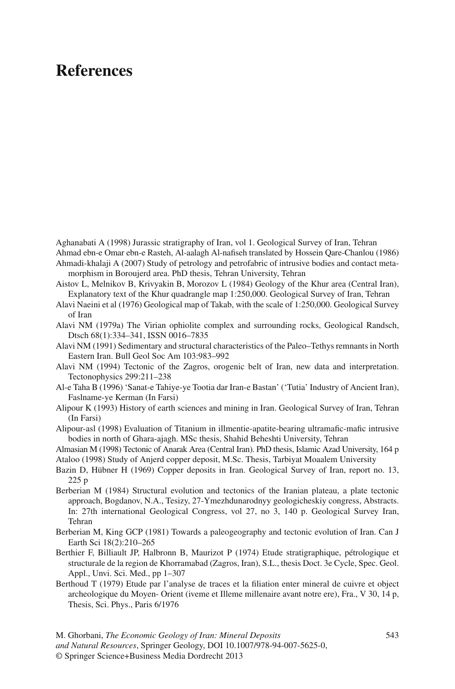# **References**

Aghanabati A (1998) Jurassic stratigraphy of Iran, vol 1. Geological Survey of Iran, Tehran

Ahmad ebn-e Omar ebn-e Rasteh, Al-aalagh Al-nafiseh translated by Hossein Qare-Chanlou (1986) Ahmadi-khalaji A (2007) Study of petrology and petrofabric of intrusive bodies and contact meta-

morphism in Boroujerd area. PhD thesis, Tehran University, Tehran

- Aistov L, Melnikov B, Krivyakin B, Morozov L (1984) Geology of the Khur area (Central Iran), Explanatory text of the Khur quadrangle map 1:250,000. Geological Survey of Iran, Tehran
- Alavi Naeini et al (1976) Geological map of Takab, with the scale of 1:250,000. Geological Survey of Iran
- Alavi NM (1979a) The Virian ophiolite complex and surrounding rocks, Geological Randsch, Dtsch 68(1):334–341, ISSN 0016–7835
- Alavi NM (1991) Sedimentary and structural characteristics of the Paleo–Tethys remnants in North Eastern Iran. Bull Geol Soc Am 103:983–992
- Alavi NM (1994) Tectonic of the Zagros, orogenic belt of Iran, new data and interpretation. Tectonophysics 299:211–238
- Al-e Taha B (1996) 'Sanat-e Tahiye-ye Tootia dar Iran-e Bastan' ('Tutia' Industry of Ancient Iran), Faslname-ye Kerman (In Farsi)
- Alipour K (1993) History of earth sciences and mining in Iran. Geological Survey of Iran, Tehran (In Farsi)
- Alipour-asl (1998) Evaluation of Titanium in illmentie-apatite-bearing ultramafic-mafic intrusive bodies in north of Ghara-ajagh. MSc thesis, Shahid Beheshti University, Tehran

Almasian M (1998) Tectonic of Anarak Area (Central Iran). PhD thesis, Islamic Azad University, 164 p

- Ataloo (1998) Study of Anjerd copper deposit, M.Sc. Thesis, Tarbiyat Moaalem University
- Bazin D, Hübner H (1969) Copper deposits in Iran. Geological Survey of Iran, report no. 13, 225 p
- Berberian M (1984) Structural evolution and tectonics of the Iranian plateau, a plate tectonic approach, Bogdanov, N.A., Tesizy, 27-Ymezhdunarodnyy geologicheskiy congress, Abstracts. In: 27th international Geological Congress, vol 27, no 3, 140 p. Geological Survey Iran, Tehran
- Berberian M, King GCP (1981) Towards a paleogeography and tectonic evolution of Iran. Can J Earth Sci 18(2):210–265
- Berthier F, Billiault JP, Halbronn B, Maurizot P (1974) Etude stratigraphique, pétrologique et structurale de la region de Khorramabad (Zagros, Iran), S.L., thesis Doct. 3e Cycle, Spec. Geol. Appl., Unvi. Sci. Med., pp 1–307
- Berthoud T (1979) Etude par l'analyse de traces et la filiation enter mineral de cuivre et object archeologique du Moyen- Orient (iveme et Illeme millenaire avant notre ere), Fra., V 30, 14 p, Thesis, Sci. Phys., Paris 6/1976

M. Ghorbani, *The Economic Geology of Iran: Mineral Deposits* 543 *and Natural Resources*, Springer Geology, DOI 10.1007/978-94-007-5625-0, © Springer Science+Business Media Dordrecht 2013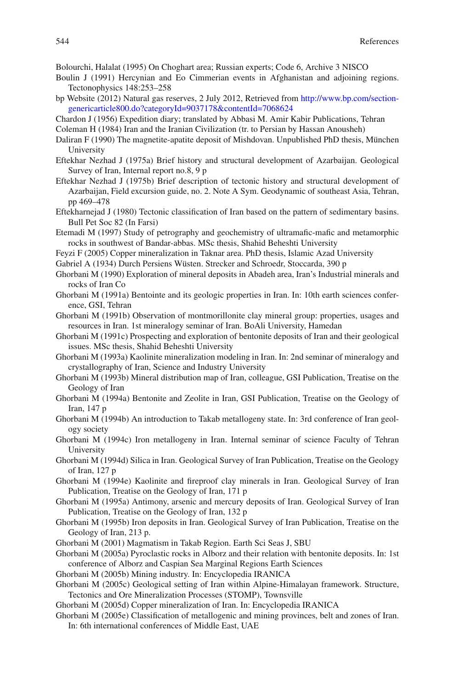Bolourchi, Halalat (1995) On Choghart area; Russian experts; Code 6, Archive 3 NISCO

- Boulin J (1991) Hercynian and Eo Cimmerian events in Afghanistan and adjoining regions. Tectonophysics 148:253–258
- bp Website (2012) Natural gas reserves, 2 July 2012, Retrieved from [http://www.bp.com/section](http://www.bp.com/sectiongenericarticle800.do?categoryId=9037178&contentId=7068624)[genericarticle800.do?categoryId=9037178&contentId=7068624](http://www.bp.com/sectiongenericarticle800.do?categoryId=9037178&contentId=7068624)
- Chardon J (1956) Expedition diary; translated by Abbasi M. Amir Kabir Publications, Tehran

Coleman H (1984) Iran and the Iranian Civilization (tr. to Persian by Hassan Anousheh)

- Daliran F (1990) The magnetite-apatite deposit of Mishdovan. Unpublished PhD thesis, München University
- Eftekhar Nezhad J (1975a) Brief history and structural development of Azarbaijan. Geological Survey of Iran, Internal report no.8, 9 p
- Eftekhar Nezhad J (1975b) Brief description of tectonic history and structural development of Azarbaijan, Field excursion guide, no. 2. Note A Sym. Geodynamic of southeast Asia, Tehran, pp 469–478
- Eftekharnejad J (1980) Tectonic classification of Iran based on the pattern of sedimentary basins. Bull Pet Soc 82 (In Farsi)
- Etemadi M (1997) Study of petrography and geochemistry of ultramafic-mafic and metamorphic rocks in southwest of Bandar-abbas. MSc thesis, Shahid Beheshti University
- Feyzi F (2005) Copper mineralization in Taknar area. PhD thesis, Islamic Azad University
- Gabriel A (1934) Durch Persiens Wüsten. Strecker and Schroedr, Stoccarda, 390 p
- Ghorbani M (1990) Exploration of mineral deposits in Abadeh area, Iran's Industrial minerals and rocks of Iran Co
- Ghorbani M (1991a) Bentointe and its geologic properties in Iran. In: 10th earth sciences conference, GSI, Tehran
- Ghorbani M (1991b) Observation of montmorillonite clay mineral group: properties, usages and resources in Iran. 1st mineralogy seminar of Iran. BoAli University, Hamedan
- Ghorbani M (1991c) Prospecting and exploration of bentonite deposits of Iran and their geological issues. MSc thesis, Shahid Beheshti University
- Ghorbani M (1993a) Kaolinite mineralization modeling in Iran. In: 2nd seminar of mineralogy and crystallography of Iran, Science and Industry University
- Ghorbani M (1993b) Mineral distribution map of Iran, colleague, GSI Publication, Treatise on the Geology of Iran
- Ghorbani M (1994a) Bentonite and Zeolite in Iran, GSI Publication, Treatise on the Geology of Iran, 147 p
- Ghorbani M (1994b) An introduction to Takab metallogeny state. In: 3rd conference of Iran geology society
- Ghorbani M (1994c) Iron metallogeny in Iran. Internal seminar of science Faculty of Tehran University
- Ghorbani M (1994d) Silica in Iran. Geological Survey of Iran Publication, Treatise on the Geology of Iran, 127 p
- Ghorbani M (1994e) Kaolinite and fireproof clay minerals in Iran. Geological Survey of Iran Publication, Treatise on the Geology of Iran, 171 p
- Ghorbani M (1995a) Antimony, arsenic and mercury deposits of Iran. Geological Survey of Iran Publication, Treatise on the Geology of Iran, 132 p
- Ghorbani M (1995b) Iron deposits in Iran. Geological Survey of Iran Publication, Treatise on the Geology of Iran, 213 p.
- Ghorbani M (2001) Magmatism in Takab Region. Earth Sci Seas J, SBU
- Ghorbani M (2005a) Pyroclastic rocks in Alborz and their relation with bentonite deposits. In: 1st conference of Alborz and Caspian Sea Marginal Regions Earth Sciences
- Ghorbani M (2005b) Mining industry. In: Encyclopedia IRANICA
- Ghorbani M (2005c) Geological setting of Iran within Alpine-Himalayan framework. Structure, Tectonics and Ore Mineralization Processes (STOMP), Townsville
- Ghorbani M (2005d) Copper mineralization of Iran. In: Encyclopedia IRANICA
- Ghorbani M (2005e) Classification of metallogenic and mining provinces, belt and zones of Iran. In: 6th international conferences of Middle East, UAE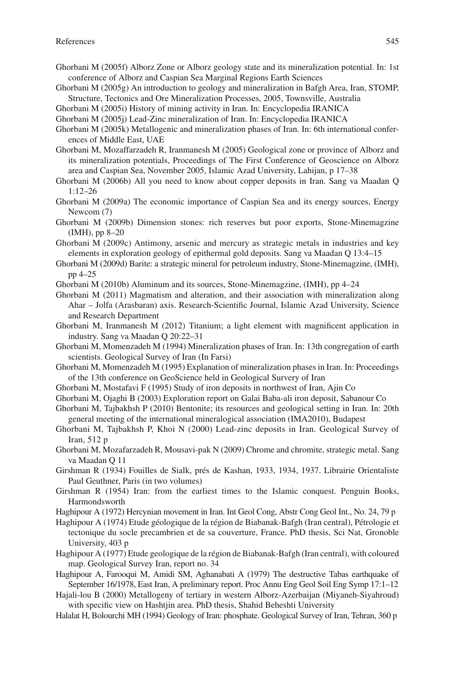- Ghorbani M (2005f) Alborz Zone or Alborz geology state and its mineralization potential. In: 1st conference of Alborz and Caspian Sea Marginal Regions Earth Sciences
- Ghorbani M (2005g) An introduction to geology and mineralization in Bafgh Area, Iran, STOMP, Structure, Tectonics and Ore Mineralization Processes, 2005, Townsville, Australia
- Ghorbani M (2005i) History of mining activity in Iran. In: Encyclopedia IRANICA
- Ghorbani M (2005j) Lead-Zinc mineralization of Iran. In: Encyclopedia IRANICA
- Ghorbani M (2005k) Metallogenic and mineralization phases of Iran. In: 6th international conferences of Middle East, UAE
- Ghorbani M, Mozaffarzadeh R, Iranmanesh M (2005) Geological zone or province of Alborz and its mineralization potentials, Proceedings of The First Conference of Geoscience on Alborz area and Caspian Sea, November 2005, Islamic Azad University, Lahijan, p 17–38
- Ghorbani M (2006b) All you need to know about copper deposits in Iran. Sang va Maadan Q 1:12–26
- Ghorbani M (2009a) The economic importance of Caspian Sea and its energy sources, Energy Newcom (7)
- Ghorbani M (2009b) Dimension stones: rich reserves but poor exports, Stone-Minemagzine (IMH), pp 8–20
- Ghorbani M (2009c) Antimony, arsenic and mercury as strategic metals in industries and key elements in exploration geology of epithermal gold deposits. Sang va Maadan Q 13:4–15
- Ghorbani M (2009d) Barite: a strategic mineral for petroleum industry, Stone-Minemagzine, (IMH), pp 4–25
- Ghorbani M (2010b) Aluminum and its sources, Stone-Minemagzine, (IMH), pp 4–24
- Ghorbani M (2011) Magmatism and alteration, and their association with mineralization along Ahar – Jolfa (Arasbaran) axis. Research-Scientific Journal, Islamic Azad University, Science and Research Department
- Ghorbani M, Iranmanesh M  $(2012)$  Titanium; a light element with magnificent application in industry. Sang va Maadan Q 20:22–31
- Ghorbani M, Momenzadeh M (1994) Mineralization phases of Iran. In: 13th congregation of earth scientists. Geological Survey of Iran (In Farsi)
- Ghorbani M, Momenzadeh M (1995) Explanation of mineralization phases in Iran. In: Proceedings of the 13th conference on GeoScience held in Geological Survery of Iran
- Ghorbani M, Mostafavi F (1995) Study of iron deposits in northwest of Iran, Ajin Co
- Ghorbani M, Ojaghi B (2003) Exploration report on Galai Baba-ali iron deposit, Sabanour Co
- Ghorbani M, Tajbakhsh P (2010) Bentonite; its resources and geological setting in Iran. In: 20th general meeting of the international mineralogical association (IMA2010), Budapest
- Ghorbani M, Tajbakhsh P, Khoi N (2000) Lead-zinc deposits in Iran. Geological Survey of Iran, 512 p
- Ghorbani M, Mozafarzadeh R, Mousavi-pak N (2009) Chrome and chromite, strategic metal. Sang va Maadan Q 11
- Girshman R (1934) Fouilles de Sialk, prés de Kashan, 1933, 1934, 1937. Librairie Orientaliste Paul Geuthner, Paris (in two volumes)
- Girshman R (1954) Iran: from the earliest times to the Islamic conquest. Penguin Books, Harmondsworth
- Haghipour A (1972) Hercynian movement in Iran. Int Geol Cong, Abstr Cong Geol Int., No. 24, 79 p
- Haghipour A (1974) Etude géologique de la région de Biabanak-Bafgh (Iran central), Pétrologie et tectonique du socle precambrien et de sa couverture, France. PhD thesis, Sci Nat, Gronoble University, 403 p
- Haghipour A (1977) Etude geologique de la région de Biabanak-Bafgh (Iran central), with coloured map. Geological Survey Iran, report no. 34
- Haghipour A, Farooqui M, Amidi SM, Aghanabati A (1979) The destructive Tabas earthquake of September 16/1978, East Iran, A preliminary report. Proc Annu Eng Geol Soil Eng Symp 17:1–12
- Hajali-lou B (2000) Metallogeny of tertiary in western Alborz-Azerbaijan (Miyaneh-Siyahroud) with specific view on Hashtjin area. PhD thesis, Shahid Beheshti University
- Halalat H, Bolourchi MH (1994) Geology of Iran: phosphate. Geological Survey of Iran, Tehran, 360 p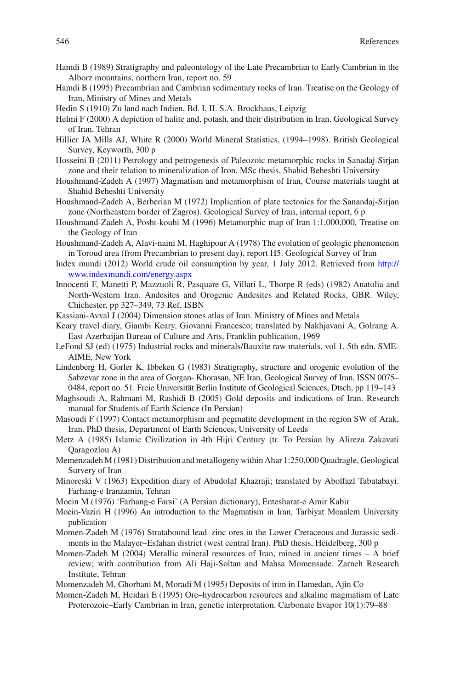- Hamdi B (1989) Stratigraphy and paleontology of the Late Precambrian to Early Cambrian in the Alborz mountains, northern Iran, report no. 59
- Hamdi B (1995) Precambrian and Cambrian sedimentary rocks of Iran. Treatise on the Geology of Iran, Ministry of Mines and Metals
- Hedin S (1910) Zu land nach Indien, Bd. I, II. S.A. Brockhaus, Leipzig
- Helmi F (2000) A depiction of halite and, potash, and their distribution in Iran. Geological Survey of Iran, Tehran
- Hillier JA Mills AJ, White R (2000) World Mineral Statistics, (1994–1998). British Geological Survey, Keyworth, 300 p
- Hosseini B (2011) Petrology and petrogenesis of Paleozoic metamorphic rocks in Sanadaj-Sirjan zone and their relation to mineralization of Iron. MSc thesis, Shahid Beheshti University
- Houshmand-Zadeh A (1997) Magmatism and metamorphism of Iran, Course materials taught at Shahid Beheshti University
- Houshmand-Zadeh A, Berberian M (1972) Implication of plate tectonics for the Sanandaj-Sirjan zone (Northeastern border of Zagros). Geological Survey of Iran, internal report, 6 p
- Houshmand-Zadeh A, Posht-kouhi M (1996) Metamorphic map of Iran 1:1,000,000, Treatise on the Geology of Iran
- Houshmand-Zadeh A, Alavi-naini M, Haghipour A (1978) The evolution of geologic phenomenon in Toroud area (from Precambrian to present day), report H5. Geological Survey of Iran
- Index mundi (2012) World crude oil consumption by year, 1 July 2012. Retrieved from [http://](http://www.indexmundi.com/energy.aspx) [www.indexmundi.com/energy.aspx](http://www.indexmundi.com/energy.aspx)
- Innocenti F, Manetti P, Mazzuoli R, Pasquare G, Villari L, Thorpe R (eds) (1982) Anatolia and North-Western Iran. Andesites and Orogenic Andesites and Related Rocks, GBR. Wiley, Chichester, pp 327–349, 73 Ref, ISBN
- Kassiani-Avval J (2004) Dimension stones atlas of Iran. Ministry of Mines and Metals
- Keary travel diary, Giambi Keary, Giovanni Francesco; translated by Nakhjavani A, Golrang A. East Azerbaijan Bureau of Culture and Arts, Franklin publication, 1969
- LeFond SJ (ed) (1975) Industrial rocks and minerals/Bauxite raw materials, vol 1, 5th edn. SME-AIME, New York
- Lindenberg H, Gorler K, Ibbeken G (1983) Stratigraphy, structure and orogenic evolution of the Sabzevar zone in the area of Gorgan- Khorasan, NE Iran, Geological Survey of Iran, ISSN 0075– 0484, report no. 51. Freie Universität Berlin Institute of Geological Sciences, Dtsch, pp 119–143
- Maghsoudi A, Rahmani M, Rashidi B (2005) Gold deposits and indications of Iran. Research manual for Students of Earth Science (In Persian)
- Masoudi F (1997) Contact metamorphism and pegmatite development in the region SW of Arak, Iran. PhD thesis, Department of Earth Sciences, University of Leeds
- Metz A (1985) Islamic Civilization in 4th Hijri Century (tr. To Persian by Alireza Zakavati Qaragozlou A)
- Memenzadeh M (1981) Distribution and metallogeny within Ahar 1:250,000 Quadragle, Geological Survery of Iran
- Minoreski V (1963) Expedition diary of Abudolaf Khazraji; translated by Abolfazl Tabatabayi. Farhang-e Iranzamin, Tehran
- Moein M (1976) 'Farhang-e Farsi' (A Persian dictionary), Entesharat-e Amir Kabir
- Moein-Vaziri H (1996) An introduction to the Magmatism in Iran, Tarbiyat Moaalem University publication
- Momen-Zadeh M (1976) Stratabound lead–zinc ores in the Lower Cretaceous and Jurassic sediments in the Malayer–Esfahan district (west central Iran). PhD thesis, Heidelberg, 300 p
- Momen-Zadeh M (2004) Metallic mineral resources of Iran, mined in ancient times A brief review; with contribution from Ali Haji-Soltan and Mahsa Momensade. Zarneh Research Institute, Tehran
- Momenzadeh M, Ghorbani M, Moradi M (1995) Deposits of iron in Hamedan, Ajin Co
- Momen-Zadeh M, Heidari E (1995) Ore–hydrocarbon resources and alkaline magmatism of Late Proterozoic–Early Cambrian in Iran, genetic interpretation. Carbonate Evapor 10(1):79–88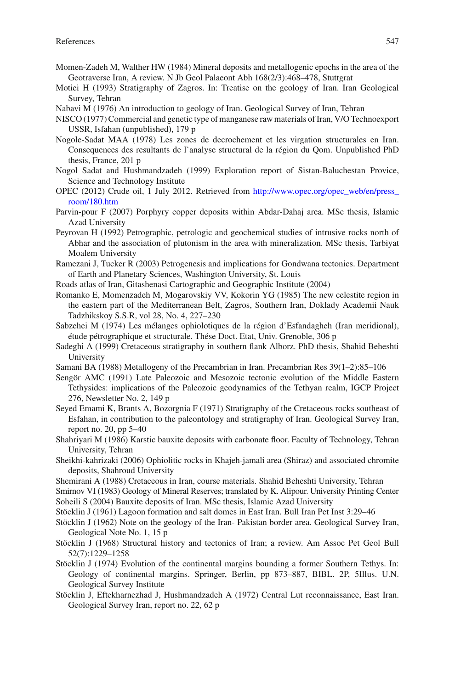- Momen-Zadeh M, Walther HW (1984) Mineral deposits and metallogenic epochs in the area of the Geotraverse Iran, A review. N Jb Geol Palaeont Abh 168(2/3):468–478, Stuttgrat
- Motiei H (1993) Stratigraphy of Zagros. In: Treatise on the geology of Iran. Iran Geological Survey, Tehran
- Nabavi M (1976) An introduction to geology of Iran. Geological Survey of Iran, Tehran
- NISCO (1977) Commercial and genetic type of manganese raw materials of Iran, V/O Technoexport USSR, Isfahan (unpublished), 179 p
- Nogole-Sadat MAA (1978) Les zones de decrochement et les virgation structurales en Iran. Consequences des resultants de l`analyse structural de la région du Qom. Unpublished PhD thesis, France, 201 p
- Nogol Sadat and Hushmandzadeh (1999) Exploration report of Sistan-Baluchestan Provice, Science and Technology Institute
- OPEC (2012) Crude oil, 1 July 2012. Retrieved from [http://www.opec.org/opec\\_web/en/press\\_](http://www.opec.org/opec_web/en/press_room/180.htm) [room/180.htm](http://www.opec.org/opec_web/en/press_room/180.htm)
- Parvin-pour F (2007) Porphyry copper deposits within Abdar-Dahaj area. MSc thesis, Islamic Azad University
- Peyrovan H (1992) Petrographic, petrologic and geochemical studies of intrusive rocks north of Abhar and the association of plutonism in the area with mineralization. MSc thesis, Tarbiyat Moalem University
- Ramezani J, Tucker R (2003) Petrogenesis and implications for Gondwana tectonics. Department of Earth and Planetary Sciences, Washington University, St. Louis
- Roads atlas of Iran, Gitashenasi Cartographic and Geographic Institute (2004)
- Romanko E, Momenzadeh M, Mogarovskiy VV, Kokorin YG (1985) The new celestite region in the eastern part of the Mediterranean Belt, Zagros, Southern Iran, Doklady Academii Nauk Tadzhikskoy S.S.R, vol 28, No. 4, 227–230
- Sabzehei M (1974) Les mélanges ophiolotiques de la région d'Esfandagheh (Iran meridional), étude pétrographique et structurale. Thése Doct. Etat, Univ. Grenoble, 306 p
- Sadeghi A (1999) Cretaceous stratigraphy in southern flank Alborz. PhD thesis, Shahid Beheshti University
- Samani BA (1988) Metallogeny of the Precambrian in Iran. Precambrian Res 39(1–2):85–106
- Sengör AMC (1991) Late Paleozoic and Mesozoic tectonic evolution of the Middle Eastern Tethysides: implications of the Paleozoic geodynamics of the Tethyan realm, IGCP Project 276, Newsletter No. 2, 149 p
- Seyed Emami K, Brants A, Bozorgnia F (1971) Stratigraphy of the Cretaceous rocks southeast of Esfahan, in contribution to the paleontology and stratigraphy of Iran. Geological Survey Iran, report no. 20, pp 5–40
- Shahriyari M (1986) Karstic bauxite deposits with carbonate floor. Faculty of Technology, Tehran University, Tehran
- Sheikhi-kahrizaki (2006) Ophiolitic rocks in Khajeh-jamali area (Shiraz) and associated chromite deposits, Shahroud University
- Shemirani A (1988) Cretaceous in Iran, course materials. Shahid Beheshti University, Tehran
- Smirnov VI (1983) Geology of Mineral Reserves; translated by K. Alipour. University Printing Center Soheili S (2004) Bauxite deposits of Iran. MSc thesis, Islamic Azad University
- Stöcklin J (1961) Lagoon formation and salt domes in East Iran. Bull Iran Pet Inst 3:29–46
- Stöcklin J (1962) Note on the geology of the Iran- Pakistan border area. Geological Survey Iran, Geological Note No. 1, 15 p
- Stöcklin J (1968) Structural history and tectonics of Iran; a review. Am Assoc Pet Geol Bull 52(7):1229–1258
- Stöcklin J (1974) Evolution of the continental margins bounding a former Southern Tethys. In: Geology of continental margins. Springer, Berlin, pp 873–887, BIBL. 2P, 5Illus. U.N. Geological Survey Institute
- Stöcklin J, Eftekharnezhad J, Hushmandzadeh A (1972) Central Lut reconnaissance, East Iran. Geological Survey Iran, report no. 22, 62 p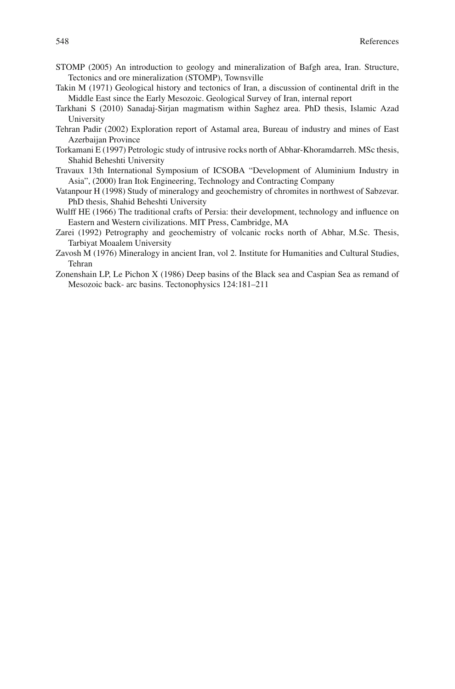- STOMP (2005) An introduction to geology and mineralization of Bafgh area, Iran. Structure, Tectonics and ore mineralization (STOMP), Townsville
- Takin M (1971) Geological history and tectonics of Iran, a discussion of continental drift in the Middle East since the Early Mesozoic. Geological Survey of Iran, internal report
- Tarkhani S (2010) Sanadaj-Sirjan magmatism within Saghez area. PhD thesis, Islamic Azad University
- Tehran Padir (2002) Exploration report of Astamal area, Bureau of industry and mines of East Azerbaijan Province
- Torkamani E (1997) Petrologic study of intrusive rocks north of Abhar-Khoramdarreh. MSc thesis, Shahid Beheshti University
- Travaux 13th International Symposium of ICSOBA "Development of Aluminium Industry in Asia", (2000) Iran Itok Engineering, Technology and Contracting Company
- Vatanpour H (1998) Study of mineralogy and geochemistry of chromites in northwest of Sabzevar. PhD thesis, Shahid Beheshti University
- Wulff HE (1966) The traditional crafts of Persia: their development, technology and influence on Eastern and Western civilizations. MIT Press, Cambridge, MA
- Zarei (1992) Petrography and geochemistry of volcanic rocks north of Abhar, M.Sc. Thesis, Tarbiyat Moaalem University
- Zavosh M (1976) Mineralogy in ancient Iran, vol 2. Institute for Humanities and Cultural Studies, Tehran
- Zonenshain LP, Le Pichon X (1986) Deep basins of the Black sea and Caspian Sea as remand of Mesozoic back- arc basins. Tectonophysics 124:181–211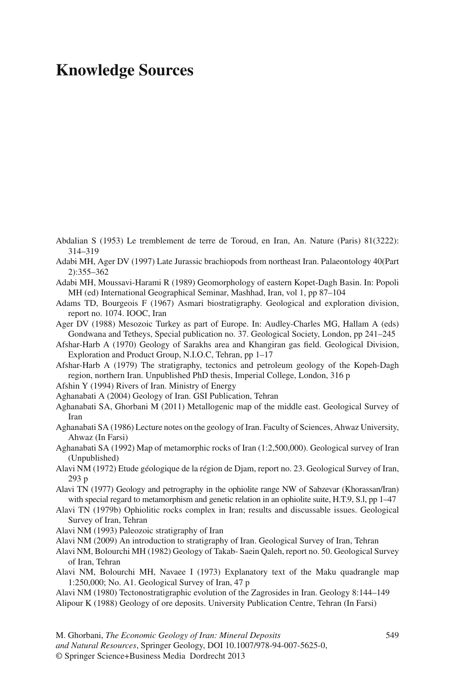# **Knowledge Sources**

- Abdalian S (1953) Le tremblement de terre de Toroud, en Iran, An. Nature (Paris) 81(3222): 314–319
- Adabi MH, Ager DV (1997) Late Jurassic brachiopods from northeast Iran. Palaeontology 40(Part 2):355–362
- Adabi MH, Moussavi-Harami R (1989) Geomorphology of eastern Kopet-Dagh Basin. In: Popoli MH (ed) International Geographical Seminar, Mashhad, Iran, vol 1, pp 87–104
- Adams TD, Bourgeois F (1967) Asmari biostratigraphy. Geological and exploration division, report no. 1074. IOOC, Iran
- Ager DV (1988) Mesozoic Turkey as part of Europe. In: Audley-Charles MG, Hallam A (eds) Gondwana and Tetheys, Special publication no. 37. Geological Society, London, pp 241–245
- Afshar-Harb A (1970) Geology of Sarakhs area and Khangiran gas field. Geological Division, Exploration and Product Group, N.I.O.C, Tehran, pp 1–17
- Afshar-Harb A (1979) The stratigraphy, tectonics and petroleum geology of the Kopeh-Dagh region, northern Iran. Unpublished PhD thesis, Imperial College, London, 316 p
- Afshin Y (1994) Rivers of Iran. Ministry of Energy
- Aghanabati A (2004) Geology of Iran. GSI Publication, Tehran
- Aghanabati SA, Ghorbani M (2011) Metallogenic map of the middle east. Geological Survey of Iran
- Aghanabati SA (1986) Lecture notes on the geology of Iran. Faculty of Sciences, Ahwaz University, Ahwaz (In Farsi)
- Aghanabati SA (1992) Map of metamorphic rocks of Iran (1:2,500,000). Geological survey of Iran (Unpublished)
- Alavi NM (1972) Etude géologique de la région de Djam, report no. 23. Geological Survey of Iran, 293 p
- Alavi TN (1977) Geology and petrography in the ophiolite range NW of Sabzevar (Khorassan/Iran) with special regard to metamorphism and genetic relation in an ophiolite suite, H.T.9, S.l, pp 1–47
- Alavi TN (1979b) Ophiolitic rocks complex in Iran; results and discussable issues. Geological Survey of Iran, Tehran
- Alavi NM (1993) Paleozoic stratigraphy of Iran
- Alavi NM (2009) An introduction to stratigraphy of Iran. Geological Survey of Iran, Tehran
- Alavi NM, Bolourchi MH (1982) Geology of Takab- Saein Qaleh, report no. 50. Geological Survey of Iran, Tehran
- Alavi NM, Bolourchi MH, Navaee I (1973) Explanatory text of the Maku quadrangle map 1:250,000; No. A1. Geological Survey of Iran, 47 p
- Alavi NM (1980) Tectonostratigraphic evolution of the Zagrosides in Iran. Geology 8:144–149 Alipour K (1988) Geology of ore deposits. University Publication Centre, Tehran (In Farsi)
- M. Ghorbani, *The Economic Geology of Iran: Mineral Deposits* 549 *and Natural Resources*, Springer Geology, DOI 10.1007/978-94-007-5625-0, © Springer Science+Business Media Dordrecht 2013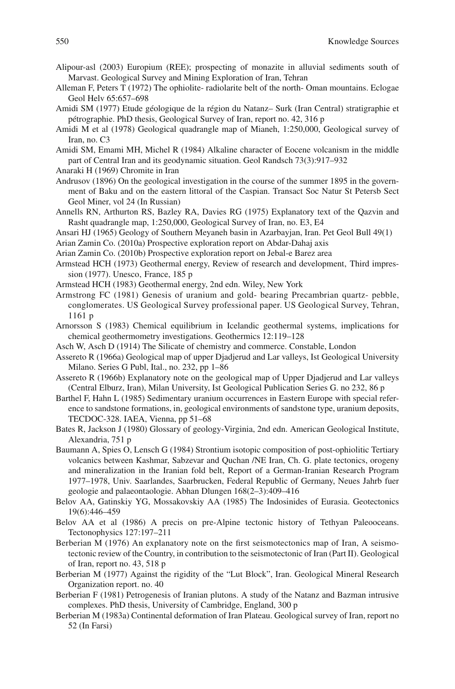- Alipour-asl (2003) Europium (REE); prospecting of monazite in alluvial sediments south of Marvast. Geological Survey and Mining Exploration of Iran, Tehran
- Alleman F, Peters T (1972) The ophiolite- radiolarite belt of the north- Oman mountains. Eclogae Geol Helv 65:657–698
- Amidi SM (1977) Etude géologique de la région du Natanz– Surk (Iran Central) stratigraphie et pétrographie. PhD thesis, Geological Survey of Iran, report no. 42, 316 p
- Amidi M et al (1978) Geological quadrangle map of Mianeh, 1:250,000, Geological survey of Iran, no. C3
- Amidi SM, Emami MH, Michel R (1984) Alkaline character of Eocene volcanism in the middle part of Central Iran and its geodynamic situation. Geol Randsch 73(3):917–932
- Anaraki H (1969) Chromite in Iran
- Andrusov (1896) On the geological investigation in the course of the summer 1895 in the government of Baku and on the eastern littoral of the Caspian. Transact Soc Natur St Petersb Sect Geol Miner, vol 24 (In Russian)
- Annells RN, Arthurton RS, Bazley RA, Davies RG (1975) Explanatory text of the Qazvin and Rasht quadrangle map, 1:250,000, Geological Survey of Iran, no. E3, E4
- Ansari HJ (1965) Geology of Southern Meyaneh basin in Azarbayjan, Iran. Pet Geol Bull 49(1)
- Arian Zamin Co. (2010a) Prospective exploration report on Abdar-Dahaj axis
- Arian Zamin Co. (2010b) Prospective exploration report on Jebal-e Barez area
- Armstead HCH (1973) Geothermal energy, Review of research and development, Third impression (1977). Unesco, France, 185 p
- Armstead HCH (1983) Geothermal energy, 2nd edn. Wiley, New York
- Armstrong FC (1981) Genesis of uranium and gold- bearing Precambrian quartz- pebble, conglomerates. US Geological Survey professional paper. US Geological Survey, Tehran, 1161 p
- Arnorsson S (1983) Chemical equilibrium in Icelandic geothermal systems, implications for chemical geothermometry investigations. Geothermics 12:119–128
- Asch W, Asch D (1914) The Silicate of chemistry and commerce. Constable, London
- Assereto R (1966a) Geological map of upper Djadjerud and Lar valleys, Ist Geological University Milano. Series G Publ, Ital., no. 232, pp 1–86
- Assereto R (1966b) Explanatory note on the geological map of Upper Djadjerud and Lar valleys (Central Elburz, Iran), Milan University, Ist Geological Publication Series G. no 232, 86 p
- Barthel F, Hahn L (1985) Sedimentary uranium occurrences in Eastern Europe with special reference to sandstone formations, in, geological environments of sandstone type, uranium deposits, TECDOC-328. IAEA, Vienna, pp 51–68
- Bates R, Jackson J (1980) Glossary of geology-Virginia, 2nd edn. American Geological Institute, Alexandria, 751 p
- Baumann A, Spies O, Lensch G (1984) Strontium isotopic composition of post-ophiolitic Tertiary volcanics between Kashmar, Sabzevar and Quchan /NE Iran, Ch. G. plate tectonics, orogeny and mineralization in the Iranian fold belt, Report of a German-Iranian Research Program 1977–1978, Univ. Saarlandes, Saarbrucken, Federal Republic of Germany, Neues Jahrb fuer geologie and palaeontaologie. Abhan Dlungen 168(2–3):409–416
- Belov AA, Gatinskiy YG, Mossakovskiy AA (1985) The Indosinides of Eurasia. Geotectonics 19(6):446–459
- Belov AA et al (1986) A precis on pre-Alpine tectonic history of Tethyan Paleooceans. Tectonophysics 127:197–211
- Berberian M (1976) An explanatory note on the first seismotectonics map of Iran, A seismotectonic review of the Country, in contribution to the seismotectonic of Iran (Part II). Geological of Iran, report no. 43, 518 p
- Berberian M (1977) Against the rigidity of the "Lut Block", Iran. Geological Mineral Research Organization report. no. 40
- Berberian F (1981) Petrogenesis of Iranian plutons. A study of the Natanz and Bazman intrusive complexes. PhD thesis, University of Cambridge, England, 300 p
- Berberian M (1983a) Continental deformation of Iran Plateau. Geological survey of Iran, report no 52 (In Farsi)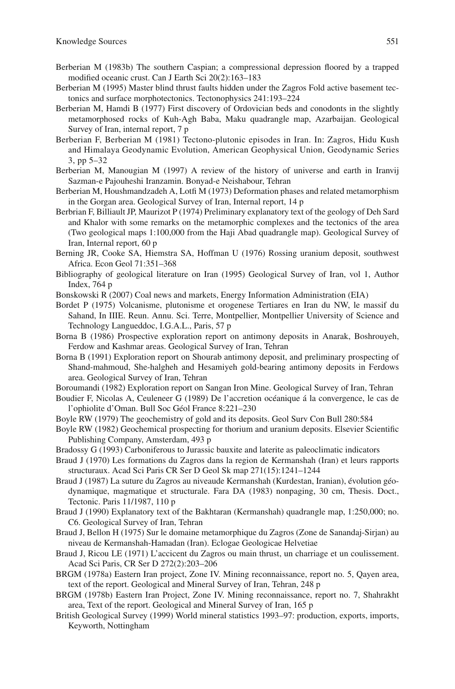- Berberian M (1983b) The southern Caspian; a compressional depression floored by a trapped modified oceanic crust. Can J Earth Sci 20(2):163-183
- Berberian M (1995) Master blind thrust faults hidden under the Zagros Fold active basement tectonics and surface morphotectonics. Tectonophysics 241:193–224
- Berberian M, Hamdi B (1977) First discovery of Ordovician beds and conodonts in the slightly metamorphosed rocks of Kuh-Agh Baba, Maku quadrangle map, Azarbaijan. Geological Survey of Iran, internal report, 7 p
- Berberian F, Berberian M (1981) Tectono-plutonic episodes in Iran. In: Zagros, Hidu Kush and Himalaya Geodynamic Evolution, American Geophysical Union, Geodynamic Series 3, pp 5–32
- Berberian M, Manougian M (1997) A review of the history of universe and earth in Iranvij Sazman-e Pajouheshi Iranzamin. Bonyad-e Neishabour, Tehran
- Berberian M, Houshmandzadeh A, Lotfi M (1973) Deformation phases and related metamorphism in the Gorgan area. Geological Survey of Iran, Internal report, 14 p
- Berbrian F, Billiault JP, Maurizot P (1974) Preliminary explanatory text of the geology of Deh Sard and Khalor with some remarks on the metamorphic complexes and the tectonics of the area (Two geological maps 1:100,000 from the Haji Abad quadrangle map). Geological Survey of Iran, Internal report, 60 p
- Berning JR, Cooke SA, Hiemstra SA, Hoffman U (1976) Rossing uranium deposit, southwest Africa. Econ Geol 71:351–368
- Bibliography of geological literature on Iran (1995) Geological Survey of Iran, vol 1, Author Index, 764 p
- Bonskowski R (2007) Coal news and markets, Energy Information Administration (EIA)
- Bordet P (1975) Volcanisme, plutonisme et orogenese Tertiares en Iran du NW, le massif du Sahand, In IIIE. Reun. Annu. Sci. Terre, Montpellier, Montpellier University of Science and Technology Langueddoc, I.G.A.L., Paris, 57 p
- Borna B (1986) Prospective exploration report on antimony deposits in Anarak, Boshrouyeh, Ferdow and Kashmar areas. Geological Survey of Iran, Tehran
- Borna B (1991) Exploration report on Shourab antimony deposit, and preliminary prospecting of Shand-mahmoud, She-halgheh and Hesamiyeh gold-bearing antimony deposits in Ferdows area. Geological Survey of Iran, Tehran
- Boroumandi (1982) Exploration report on Sangan Iron Mine. Geological Survey of Iran, Tehran
- Boudier F, Nicolas A, Ceuleneer G (1989) De l'accretion océanique á la convergence, le cas de l'ophiolite d'Oman. Bull Soc Géol France 8:221–230
- Boyle RW (1979) The geochemistry of gold and its deposits. Geol Surv Con Bull 280:584
- Boyle RW (1982) Geochemical prospecting for thorium and uranium deposits. Elsevier Scientific Publishing Company, Amsterdam, 493 p
- Bradossy G (1993) Carboniferous to Jurassic bauxite and laterite as paleoclimatic indicators
- Braud J (1970) Les formations du Zagros dans la region de Kermanshah (Iran) et leurs rapports structuraux. Acad Sci Paris CR Ser D Geol Sk map 271(15):1241–1244
- Braud J (1987) La suture du Zagros au niveaude Kermanshah (Kurdestan, Iranian), évolution géodynamique, magmatique et structurale. Fara DA (1983) nonpaging, 30 cm, Thesis. Doct., Tectonic. Paris 11/1987, 110 p
- Braud J (1990) Explanatory text of the Bakhtaran (Kermanshah) quadrangle map, 1:250,000; no. C6. Geological Survey of Iran, Tehran
- Braud J, Bellon H (1975) Sur le domaine metamorphique du Zagros (Zone de Sanandaj-Sirjan) au niveau de Kermanshah-Hamadan (Iran). Eclogae Geologicae Helvetiae
- Braud J, Ricou LE (1971) L'accicent du Zagros ou main thrust, un charriage et un coulissement. Acad Sci Paris, CR Ser D 272(2):203–206
- BRGM (1978a) Eastern Iran project, Zone IV. Mining reconnaissance, report no. 5, Qayen area, text of the report. Geological and Mineral Survey of Iran, Tehran, 248 p
- BRGM (1978b) Eastern Iran Project, Zone IV. Mining reconnaissance, report no. 7, Shahrakht area, Text of the report. Geological and Mineral Survey of Iran, 165 p
- British Geological Survey (1999) World mineral statistics 1993–97: production, exports, imports, Keyworth, Nottingham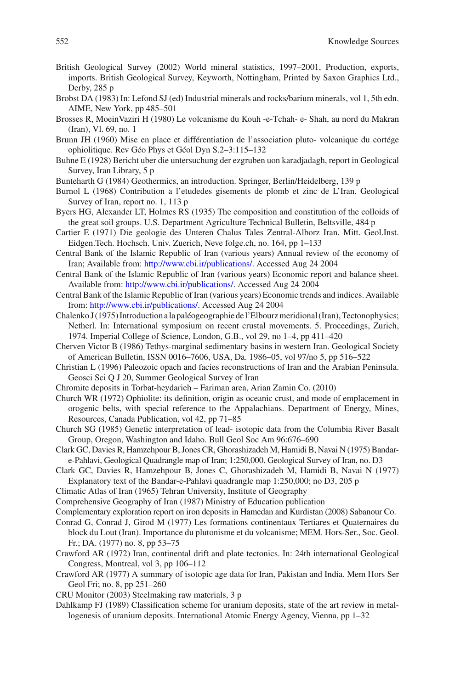- British Geological Survey (2002) World mineral statistics, 1997–2001, Production, exports, imports. British Geological Survey, Keyworth, Nottingham, Printed by Saxon Graphics Ltd., Derby, 285 p
- Brobst DA (1983) In: Lefond SJ (ed) Industrial minerals and rocks/barium minerals, vol 1, 5th edn. AIME, New York, pp 485–501
- Brosses R, MoeinVaziri H (1980) Le volcanisme du Kouh -e-Tchah- e- Shah, au nord du Makran (Iran), Vl. 69, no. 1
- Brunn JH (1960) Mise en place et différentiation de l'association pluto- volcanique du cortége ophiolitique. Rev Géo Phys et Géol Dyn S.2–3:115–132
- Buhne E (1928) Bericht uber die untersuchung der ezgruben uon karadjadagh, report in Geological Survey, Iran Library, 5 p
- Bunteharth G (1984) Geothermics, an introduction. Springer, Berlin/Heidelberg, 139 p
- Burnol L (1968) Contribution a l'etudedes gisements de plomb et zinc de L'Iran. Geological Survey of Iran, report no. 1, 113 p
- Byers HG, Alexander LT, Holmes RS (1935) The composition and constitution of the colloids of the great soil groups. U.S. Department Agriculture Technical Bulletin, Beltsville, 484 p
- Cartier E (1971) Die geologie des Unteren Chalus Tales Zentral-Alborz Iran. Mitt. Geol.Inst. Eidgen.Tech. Hochsch. Univ. Zuerich, Neve folge.ch, no. 164, pp 1–133
- Central Bank of the Islamic Republic of Iran (various years) Annual review of the economy of Iran; Available from: [http://www.cbi.ir/publications/.](http://www.cbi.ir/publications/) Accessed Aug 24 2004
- Central Bank of the Islamic Republic of Iran (various years) Economic report and balance sheet. Available from:<http://www.cbi.ir/publications/>. Accessed Aug 24 2004
- Central Bank of the Islamic Republic of Iran (various years) Economic trends and indices. Available from: <http://www.cbi.ir/publications/>. Accessed Aug 24 2004
- Chalenko J (1975) Introduction a la paléogeographie de l'Elbourz meridional (Iran), Tectonophysics; Netherl. In: International symposium on recent crustal movements. 5. Proceedings, Zurich, 1974. Imperial College of Science, London, G.B., vol 29, no 1–4, pp 411–420
- Cherven Victor B (1986) Tethys-marginal sedimentary basins in western Iran. Geological Society of American Bulletin, ISSN 0016–7606, USA, Da. 1986–05, vol 97/no 5, pp 516–522
- Christian L (1996) Paleozoic opach and facies reconstructions of Iran and the Arabian Peninsula. Geosci Sci Q J 20, Summer Geological Survey of Iran
- Chromite deposits in Torbat-heydarieh Fariman area, Arian Zamin Co. (2010)
- Church WR (1972) Ophiolite: its definition, origin as oceanic crust, and mode of emplacement in orogenic belts, with special reference to the Appalachians. Department of Energy, Mines, Resources, Canada Publication, vol 42, pp 71–85
- Church SG (1985) Genetic interpretation of lead- isotopic data from the Columbia River Basalt Group, Oregon, Washington and Idaho. Bull Geol Soc Am 96:676–690
- Clark GC, Davies R, Hamzehpour B, Jones CR, Ghorashizadeh M, Hamidi B, Navai N (1975) Bandare-Pahlavi, Geological Quadrangle map of Iran; 1:250,000. Geological Survey of Iran, no. D3
- Clark GC, Davies R, Hamzehpour B, Jones C, Ghorashizadeh M, Hamidi B, Navai N (1977) Explanatory text of the Bandar-e-Pahlavi quadrangle map 1:250,000; no D3, 205 p
- Climatic Atlas of Iran (1965) Tehran University, Institute of Geography
- Comprehensive Geography of Iran (1987) Ministry of Education publication

Complementary exploration report on iron deposits in Hamedan and Kurdistan (2008) Sabanour Co.

- Conrad G, Conrad J, Girod M (1977) Les formations continentaux Tertiares et Quaternaires du block du Lout (Iran). Importance du plutonisme et du volcanisme; MEM. Hors-Ser., Soc. Geol. Fr.; DA. (1977) no. 8, pp 53–75
- Crawford AR (1972) Iran, continental drift and plate tectonics. In: 24th international Geological Congress, Montreal, vol 3, pp 106–112
- Crawford AR (1977) A summary of isotopic age data for Iran, Pakistan and India. Mem Hors Ser Geol Fri; no. 8, pp 251–260
- CRU Monitor (2003) Steelmaking raw materials, 3 p
- Dahlkamp FJ (1989) Classification scheme for uranium deposits, state of the art review in metallogenesis of uranium deposits. International Atomic Energy Agency, Vienna, pp 1–32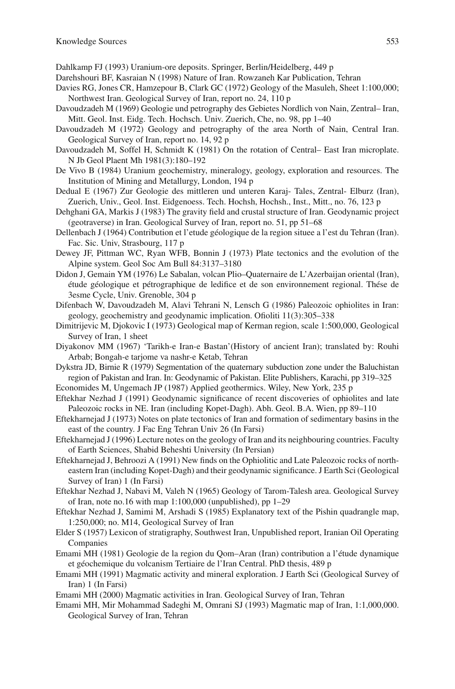Dahlkamp FJ (1993) Uranium-ore deposits. Springer, Berlin/Heidelberg, 449 p

- Darehshouri BF, Kasraian N (1998) Nature of Iran. Rowzaneh Kar Publication, Tehran
- Davies RG, Jones CR, Hamzepour B, Clark GC (1972) Geology of the Masuleh, Sheet 1:100,000; Northwest Iran. Geological Survey of Iran, report no. 24, 110 p
- Davoudzadeh M (1969) Geologie und petrography des Gebietes Nordlich von Nain, Zentral– Iran, Mitt. Geol. Inst. Eidg. Tech. Hochsch. Univ. Zuerich, Che, no. 98, pp 1–40
- Davoudzadeh M (1972) Geology and petrography of the area North of Nain, Central Iran. Geological Survey of Iran, report no. 14, 92 p
- Davoudzadeh M, Soffel H, Schmidt K (1981) On the rotation of Central– East Iran microplate. N Jb Geol Plaent Mh 1981(3):180–192
- De Vivo B (1984) Uranium geochemistry, mineralogy, geology, exploration and resources. The Institution of Mining and Metallurgy, London, 194 p
- Dedual E (1967) Zur Geologie des mittleren und unteren Karaj- Tales, Zentral- Elburz (Iran), Zuerich, Univ., Geol. Inst. Eidgenoess. Tech. Hochsh, Hochsh., Inst., Mitt., no. 76, 123 p
- Dehghani GA, Markis J (1983) The gravity field and crustal structure of Iran. Geodynamic project (geotraverse) in Iran. Geological Survey of Iran, report no. 51, pp 51–68
- Dellenbach J (1964) Contribution et l'etude géologique de la region situee a l'est du Tehran (Iran). Fac. Sic. Univ, Strasbourg, 117 p
- Dewey JF, Pittman WC, Ryan WFB, Bonnin J (1973) Plate tectonics and the evolution of the Alpine system. Geol Soc Am Bull 84:3137–3180
- Didon J, Gemain YM (1976) Le Sabalan, volcan Plio–Quaternaire de L'Azerbaijan oriental (Iran), étude géologique et pétrographique de ledifice et de son environnement regional. Thése de 3esme Cycle, Univ. Grenoble, 304 p
- Difenbach W, Davoudzadeh M, Alavi Tehrani N, Lensch G (1986) Paleozoic ophiolites in Iran: geology, geochemistry and geodynamic implication. Ofioliti 11(3):305–338
- Dimitrijevic M, Djokovic I (1973) Geological map of Kerman region, scale 1:500,000, Geological Survey of Iran, 1 sheet
- Diyakonov MM (1967) 'Tarikh-e Iran-e Bastan'(History of ancient Iran); translated by: Rouhi Arbab; Bongah-e tarjome va nashr-e Ketab, Tehran
- Dykstra JD, Birnie R (1979) Segmentation of the quaternary subduction zone under the Baluchistan region of Pakistan and Iran. In: Geodynamic of Pakistan. Elite Publishers, Karachi, pp 319–325
- Economides M, Ungemach JP (1987) Applied geothermics. Wiley, New York, 235 p
- Eftekhar Nezhad J (1991) Geodynamic significance of recent discoveries of ophiolites and late Paleozoic rocks in NE. Iran (including Kopet-Dagh). Abh. Geol. B.A. Wien, pp 89–110
- Eftekharnejad J (1973) Notes on plate tectonics of Iran and formation of sedimentary basins in the east of the country. J Fac Eng Tehran Univ 26 (In Farsi)
- Eftekharnejad J (1996) Lecture notes on the geology of Iran and its neighbouring countries. Faculty of Earth Sciences, Shabid Beheshti University (In Persian)
- Eftekharnejad J, Behroozi A (1991) New finds on the Ophiolitic and Late Paleozoic rocks of northeastern Iran (including Kopet-Dagh) and their geodynamic significance. J Earth Sci (Geological Survey of Iran) 1 (In Farsi)
- Eftekhar Nezhad J, Nabavi M, Valeh N (1965) Geology of Tarom-Talesh area. Geological Survey of Iran, note no.16 with map 1:100,000 (unpublished), pp 1–29
- Eftekhar Nezhad J, Samimi M, Arshadi S (1985) Explanatory text of the Pishin quadrangle map, 1:250,000; no. M14, Geological Survey of Iran
- Elder S (1957) Lexicon of stratigraphy, Southwest Iran, Unpublished report, Iranian Oil Operating Companies
- Emami MH (1981) Geologie de la region du Qom–Aran (Iran) contribution a l'étude dynamique et géochemique du volcanism Tertiaire de l'Iran Central. PhD thesis, 489 p
- Emami MH (1991) Magmatic activity and mineral exploration. J Earth Sci (Geological Survey of Iran) 1 (In Farsi)
- Emami MH (2000) Magmatic activities in Iran. Geological Survey of Iran, Tehran
- Emami MH, Mir Mohammad Sadeghi M, Omrani SJ (1993) Magmatic map of Iran, 1:1,000,000. Geological Survey of Iran, Tehran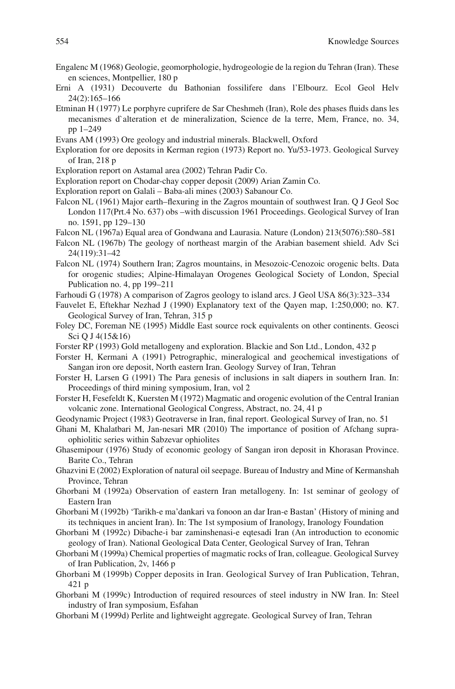- Engalenc M (1968) Geologie, geomorphologie, hydrogeologie de la region du Tehran (Iran). These en sciences, Montpellier, 180 p
- Erni A (1931) Decouverte du Bathonian fossilifere dans l'Elbourz. Ecol Geol Helv 24(2):165–166
- Etminan H (1977) Le porphyre cuprifere de Sar Cheshmeh (Iran), Role des phases fluids dans les mecanismes d`alteration et de mineralization, Science de la terre, Mem, France, no. 34, pp 1–249
- Evans AM (1993) Ore geology and industrial minerals. Blackwell, Oxford
- Exploration for ore deposits in Kerman region (1973) Report no. Yu/53-1973. Geological Survey of Iran, 218 p
- Exploration report on Astamal area (2002) Tehran Padir Co.
- Exploration report on Chodar-chay copper deposit (2009) Arian Zamin Co.
- Exploration report on Galali Baba-ali mines (2003) Sabanour Co.
- Falcon NL (1961) Major earth–flexuring in the Zagros mountain of southwest Iran. O J Geol Soc London 117(Prt.4 No. 637) obs –with discussion 1961 Proceedings. Geological Survey of Iran no. 1591, pp 129–130
- Falcon NL (1967a) Equal area of Gondwana and Laurasia. Nature (London) 213(5076):580–581
- Falcon NL (1967b) The geology of northeast margin of the Arabian basement shield. Adv Sci 24(119):31–42
- Falcon NL (1974) Southern Iran; Zagros mountains, in Mesozoic-Cenozoic orogenic belts. Data for orogenic studies; Alpine-Himalayan Orogenes Geological Society of London, Special Publication no. 4, pp 199–211
- Farhoudi G (1978) A comparison of Zagros geology to island arcs. J Geol USA 86(3):323–334
- Fauvelet E, Eftekhar Nezhad J (1990) Explanatory text of the Qayen map, 1:250,000; no. K7. Geological Survey of Iran, Tehran, 315 p
- Foley DC, Foreman NE (1995) Middle East source rock equivalents on other continents. Geosci Sci Q J 4(15&16)
- Forster RP (1993) Gold metallogeny and exploration. Blackie and Son Ltd., London, 432 p
- Forster H, Kermani A (1991) Petrographic, mineralogical and geochemical investigations of Sangan iron ore deposit, North eastern Iran. Geology Survey of Iran, Tehran
- Forster H, Larsen G (1991) The Para genesis of inclusions in salt diapers in southern Iran. In: Proceedings of third mining symposium, Iran, vol 2
- Forster H, Fesefeldt K, Kuersten M (1972) Magmatic and orogenic evolution of the Central Iranian volcanic zone. International Geological Congress, Abstract, no. 24, 41 p
- Geodynamic Project (1983) Geotraverse in Iran, final report. Geological Survey of Iran, no. 51
- Ghani M, Khalatbari M, Jan-nesari MR (2010) The importance of position of Afchang supraophiolitic series within Sabzevar ophiolites
- Ghasemipour (1976) Study of economic geology of Sangan iron deposit in Khorasan Province. Barite Co., Tehran
- Ghazvini E (2002) Exploration of natural oil seepage. Bureau of Industry and Mine of Kermanshah Province, Tehran
- Ghorbani M (1992a) Observation of eastern Iran metallogeny. In: 1st seminar of geology of Eastern Iran
- Ghorbani M (1992b) 'Tarikh-e ma'dankari va fonoon an dar Iran-e Bastan' (History of mining and its techniques in ancient Iran). In: The 1st symposium of Iranology, Iranology Foundation
- Ghorbani M (1992c) Dibache-i bar zaminshenasi-e eqtesadi Iran (An introduction to economic geology of Iran). National Geological Data Center, Geological Survey of Iran, Tehran
- Ghorbani M (1999a) Chemical properties of magmatic rocks of Iran, colleague. Geological Survey of Iran Publication, 2v, 1466 p
- Ghorbani M (1999b) Copper deposits in Iran. Geological Survey of Iran Publication, Tehran, 421 p
- Ghorbani M (1999c) Introduction of required resources of steel industry in NW Iran. In: Steel industry of Iran symposium, Esfahan
- Ghorbani M (1999d) Perlite and lightweight aggregate. Geological Survey of Iran, Tehran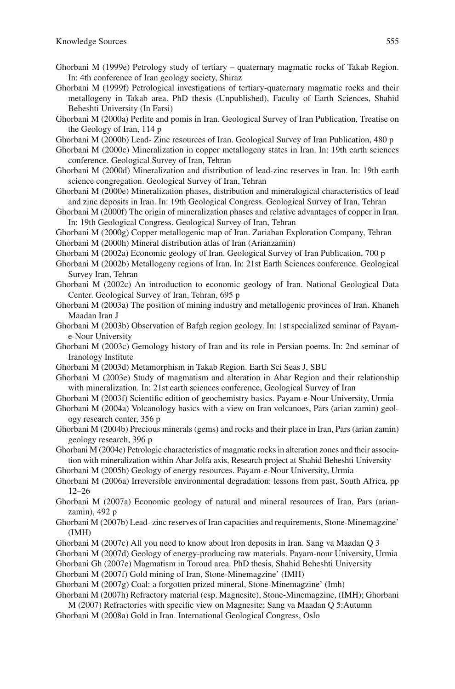- Ghorbani M (1999e) Petrology study of tertiary quaternary magmatic rocks of Takab Region. In: 4th conference of Iran geology society, Shiraz
- Ghorbani M (1999f) Petrological investigations of tertiary-quaternary magmatic rocks and their metallogeny in Takab area. PhD thesis (Unpublished), Faculty of Earth Sciences, Shahid Beheshti University (In Farsi)
- Ghorbani M (2000a) Perlite and pomis in Iran. Geological Survey of Iran Publication, Treatise on the Geology of Iran, 114 p

Ghorbani M (2000b) Lead- Zinc resources of Iran. Geological Survey of Iran Publication, 480 p

- Ghorbani M (2000c) Mineralization in copper metallogeny states in Iran. In: 19th earth sciences conference. Geological Survey of Iran, Tehran
- Ghorbani M (2000d) Mineralization and distribution of lead-zinc reserves in Iran. In: 19th earth science congregation. Geological Survey of Iran, Tehran
- Ghorbani M (2000e) Mineralization phases, distribution and mineralogical characteristics of lead and zinc deposits in Iran. In: 19th Geological Congress. Geological Survey of Iran, Tehran
- Ghorbani M (2000f) The origin of mineralization phases and relative advantages of copper in Iran. In: 19th Geological Congress. Geological Survey of Iran, Tehran
- Ghorbani M (2000g) Copper metallogenic map of Iran. Zariaban Exploration Company, Tehran Ghorbani M (2000h) Mineral distribution atlas of Iran (Arianzamin)
- Ghorbani M (2002a) Economic geology of Iran. Geological Survey of Iran Publication, 700 p
- Ghorbani M (2002b) Metallogeny regions of Iran. In: 21st Earth Sciences conference. Geological Survey Iran, Tehran
- Ghorbani M (2002c) An introduction to economic geology of Iran. National Geological Data Center. Geological Survey of Iran, Tehran, 695 p
- Ghorbani M (2003a) The position of mining industry and metallogenic provinces of Iran. Khaneh Maadan Iran J
- Ghorbani M (2003b) Observation of Bafgh region geology. In: 1st specialized seminar of Payame-Nour University
- Ghorbani M (2003c) Gemology history of Iran and its role in Persian poems. In: 2nd seminar of Iranology Institute
- Ghorbani M (2003d) Metamorphism in Takab Region. Earth Sci Seas J, SBU
- Ghorbani M (2003e) Study of magmatism and alteration in Ahar Region and their relationship with mineralization. In: 21st earth sciences conference, Geological Survey of Iran
- Ghorbani M (2003f) Scientific edition of geochemistry basics. Payam-e-Nour University, Urmia
- Ghorbani M (2004a) Volcanology basics with a view on Iran volcanoes, Pars (arian zamin) geology research center, 356 p
- Ghorbani M (2004b) Precious minerals (gems) and rocks and their place in Iran, Pars (arian zamin) geology research, 396 p
- Ghorbani M (2004c) Petrologic characteristics of magmatic rocks in alteration zones and their association with mineralization within Ahar-Jolfa axis, Research project at Shahid Beheshti University
- Ghorbani M (2005h) Geology of energy resources. Payam-e-Nour University, Urmia
- Ghorbani M (2006a) Irreversible environmental degradation: lessons from past, South Africa, pp 12–26
- Ghorbani M (2007a) Economic geology of natural and mineral resources of Iran, Pars (arianzamin), 492 p
- Ghorbani M (2007b) Lead- zinc reserves of Iran capacities and requirements, Stone-Minemagzine' (IMH)
- Ghorbani M (2007c) All you need to know about Iron deposits in Iran. Sang va Maadan Q 3
- Ghorbani M (2007d) Geology of energy-producing raw materials. Payam-nour University, Urmia
- Ghorbani Gh (2007e) Magmatism in Toroud area. PhD thesis, Shahid Beheshti University
- Ghorbani M (2007f) Gold mining of Iran, Stone-Minemagzine' (IMH)
- Ghorbani M (2007g) Coal: a forgotten prized mineral, Stone-Minemagzine' (Imh)
- Ghorbani M (2007h) Refractory material (esp. Magnesite), Stone-Minemagzine, (IMH); Ghorbani M (2007) Refractories with specific view on Magnesite; Sang va Maadan Q 5:Autumn
- Ghorbani M (2008a) Gold in Iran. International Geological Congress, Oslo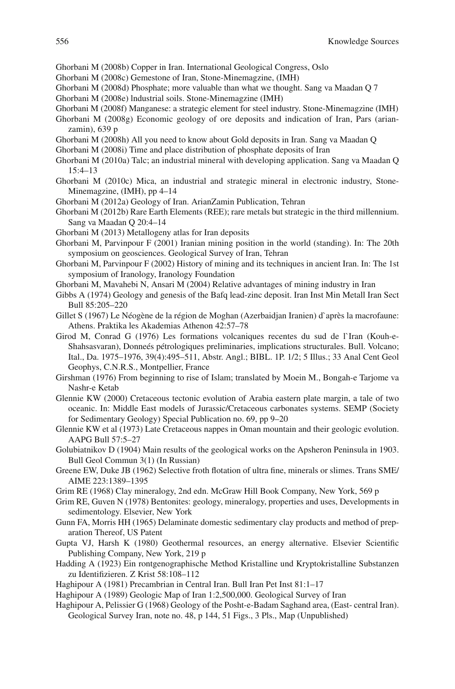- Ghorbani M (2008b) Copper in Iran. International Geological Congress, Oslo
- Ghorbani M (2008c) Gemestone of Iran, Stone-Minemagzine, (IMH)
- Ghorbani M (2008d) Phosphate; more valuable than what we thought. Sang va Maadan Q 7
- Ghorbani M (2008e) lndustrial soils. Stone-Minemagzine (IMH)
- Ghorbani M (2008f) Manganese: a strategic element for steel industry. Stone-Minemagzine (IMH)
- Ghorbani M (2008g) Economic geology of ore deposits and indication of Iran, Pars (arianzamin), 639 p
- Ghorbani M (2008h) All you need to know about Gold deposits in Iran. Sang va Maadan Q
- Ghorbani M (2008i) Time and place distribution of phosphate deposits of Iran
- Ghorbani M (2010a) Talc; an industrial mineral with developing application. Sang va Maadan Q 15:4–13
- Ghorbani M (2010c) Mica, an industrial and strategic mineral in electronic industry, Stone-Minemagzine, (IMH), pp 4–14
- Ghorbani M (2012a) Geology of Iran. ArianZamin Publication, Tehran
- Ghorbani M (2012b) Rare Earth Elements (REE); rare metals but strategic in the third millennium. Sang va Maadan Q 20:4–14
- Ghorbani M (2013) Metallogeny atlas for Iran deposits
- Ghorbani M, Parvinpour F (2001) Iranian mining position in the world (standing). In: The 20th symposium on geosciences. Geological Survey of Iran, Tehran
- Ghorbani M, Parvinpour F (2002) History of mining and its techniques in ancient Iran. In: The 1st symposium of Iranology, Iranology Foundation
- Ghorbani M, Mavahebi N, Ansari M (2004) Relative advantages of mining industry in Iran
- Gibbs A (1974) Geology and genesis of the Bafq lead-zinc deposit. Iran Inst Min Metall Iran Sect Bull 85:205–220
- Gillet S (1967) Le Néogène de la région de Moghan (Azerbaidjan Iranien) d`après la macrofaune: Athens. Praktika les Akademias Athenon 42:57–78
- Girod M, Conrad G (1976) Les formations volcaniques recentes du sud de l`Iran (Kouh-e-Shahsasvaran), Donneés pétrologiques preliminaries, implications structurales. Bull. Volcano; Ital., Da. 1975–1976, 39(4):495–511, Abstr. Angl.; BIBL. 1P. 1/2; 5 Illus.; 33 Anal Cent Geol Geophys, C.N.R.S., Montpellier, France
- Girshman (1976) From beginning to rise of Islam; translated by Moein M., Bongah-e Tarjome va Nashr-e Ketab
- Glennie KW (2000) Cretaceous tectonic evolution of Arabia eastern plate margin, a tale of two oceanic. In: Middle East models of Jurassic/Cretaceous carbonates systems. SEMP (Society for Sedimentary Geology) Special Publication no. 69, pp 9–20
- Glennie KW et al (1973) Late Cretaceous nappes in Oman mountain and their geologic evolution. AAPG Bull 57:5–27
- Golubiatnikov D (1904) Main results of the geological works on the Apsheron Peninsula in 1903. Bull Geol Commun 3(1) (In Russian)
- Greene EW, Duke JB (1962) Selective froth flotation of ultra fine, minerals or slimes. Trans SME/ AIME 223:1389–1395
- Grim RE (1968) Clay mineralogy, 2nd edn. McGraw Hill Book Company, New York, 569 p
- Grim RE, Guven N (1978) Bentonites: geology, mineralogy, properties and uses, Developments in sedimentology. Elsevier, New York
- Gunn FA, Morris HH (1965) Delaminate domestic sedimentary clay products and method of preparation Thereof, US Patent
- Gupta VJ, Harsh K (1980) Geothermal resources, an energy alternative. Elsevier Scientific Publishing Company, New York, 219 p
- Hadding A (1923) Ein rontgenographische Method Kristalline und Kryptokristalline Substanzen zu Identifizieren. Z Krist 58:108-112
- Haghipour A (1981) Precambrian in Central Iran. Bull Iran Pet Inst 81:1–17
- Haghipour A (1989) Geologic Map of Iran 1:2,500,000. Geological Survey of Iran
- Haghipour A, Pelissier G (1968) Geology of the Posht-e-Badam Saghand area, (East- central Iran). Geological Survey Iran, note no. 48, p 144, 51 Figs., 3 Pls., Map (Unpublished)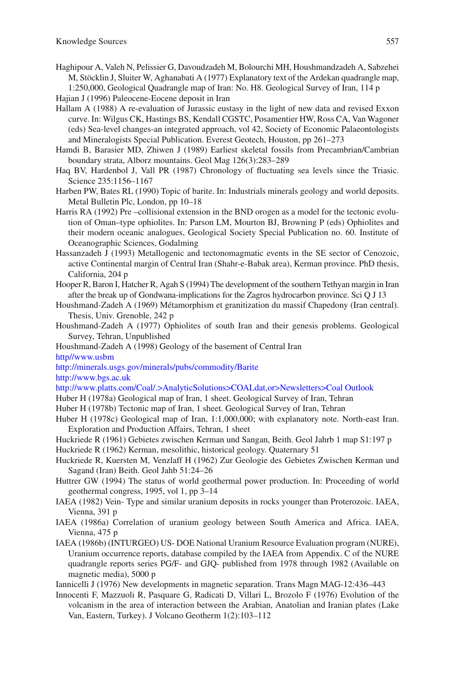- Haghipour A, Valeh N, Pelissier G, Davoudzadeh M, Bolourchi MH, Houshmandzadeh A, Sabzehei M, Stöcklin J, Sluiter W, Aghanabati A (1977) Explanatory text of the Ardekan quadrangle map, 1:250,000, Geological Quadrangle map of Iran: No. H8. Geological Survey of Iran, 114 p
- Hajian J (1996) Paleocene-Eocene deposit in Iran
- Hallam A (1988) A re-evaluation of Jurassic eustasy in the light of new data and revised Exxon curve. In: Wilgus CK, Hastings BS, Kendall CGSTC, Posamentier HW, Ross CA, Van Wagoner (eds) Sea-level changes-an integrated approach, vol 42, Society of Economic Palaeontologists and Mineralogists Special Publication. Everest Geotech, Houston, pp 261–273
- Hamdi B, Barasier MD, Zhiwen J (1989) Earliest skeletal fossils from Precambrian/Cambrian boundary strata, Alborz mountains. Geol Mag 126(3):283–289
- Haq BV, Hardenbol J, Vall PR (1987) Chronology of fluctuating sea levels since the Triasic. Science 235:1156–1167
- Harben PW, Bates RL (1990) Topic of barite. In: Industrials minerals geology and world deposits. Metal Bulletin Plc, London, pp 10–18
- Harris RA (1992) Pre –collisional extension in the BND orogen as a model for the tectonic evolution of Oman–type ophiolites. In: Parson LM, Mourton BJ, Browning P (eds) Ophiolites and their modern oceanic analogues, Geological Society Special Publication no. 60. Institute of Oceanographic Sciences, Godalming
- Hassanzadeh J (1993) Metallogenic and tectonomagmatic events in the SE sector of Cenozoic, active Continental margin of Central Iran (Shahr-e-Babak area), Kerman province. PhD thesis, California, 204 p
- Hooper R, Baron I, Hatcher R, Agah S (1994) The development of the southern Tethyan margin in Iran after the break up of Gondwana-implications for the Zagros hydrocarbon province. Sci Q J 13
- Houshmand-Zadeh A (1969) Métamorphism et granitization du massif Chapedony (Iran central). Thesis, Univ. Grenoble, 242 p
- Houshmand-Zadeh A (1977) Ophiolites of south Iran and their genesis problems. Geological Survey, Tehran, Unpublished
- Houshmand-Zadeh A (1998) Geology of the basement of Central Iran

 [http//www.usbm](http://http//www.usbm)

<http://minerals.usgs.gov/minerals/pubs/commodity/Barite>

<http://www.bgs.ac.uk>

- <http://www.platts.com/Coal/.>AnalyticSolutions>COALdat,or>Newsletters>Coal Outlook>
- Huber H (1978a) Geological map of Iran, 1 sheet. Geological Survey of Iran, Tehran
- Huber H (1978b) Tectonic map of Iran, 1 sheet. Geological Survey of Iran, Tehran
- Huber H (1978c) Geological map of Iran, 1:1,000,000; with explanatory note. North-east Iran. Exploration and Production Affairs, Tehran, 1 sheet
- Huckriede R (1961) Gebietes zwischen Kerman und Sangan, Beith. Geol Jahrb 1 map S1:197 p Huckriede R (1962) Kerman, mesolithic, historical geology. Quaternary 51
- Huckriede R, Kuersten M, Venzlaff H (1962) Zur Geologie des Gebietes Zwischen Kerman und Sagand (Iran) Beith. Geol Jahb 51:24–26
- Huttrer GW (1994) The status of world geothermal power production. In: Proceeding of world geothermal congress, 1995, vol 1, pp 3–14
- IAEA (1982) Vein- Type and similar uranium deposits in rocks younger than Proterozoic. IAEA, Vienna, 391 p
- IAEA (1986a) Correlation of uranium geology between South America and Africa. IAEA, Vienna, 475 p
- IAEA (1986b) (INTURGEO) US- DOE National Uranium Resource Evaluation program (NURE), Uranium occurrence reports, database compiled by the IAEA from Appendix. C of the NURE quadrangle reports series PG/F- and GJQ- published from 1978 through 1982 (Available on magnetic media), 5000 p
- Iannicelli J (1976) New developments in magnetic separation. Trans Magn MAG-12:436–443
- Innocenti F, Mazzuoli R, Pasquare G, Radicati D, Villari L, Brozolo F (1976) Evolution of the volcanism in the area of interaction between the Arabian, Anatolian and Iranian plates (Lake Van, Eastern, Turkey). J Volcano Geotherm 1(2):103–112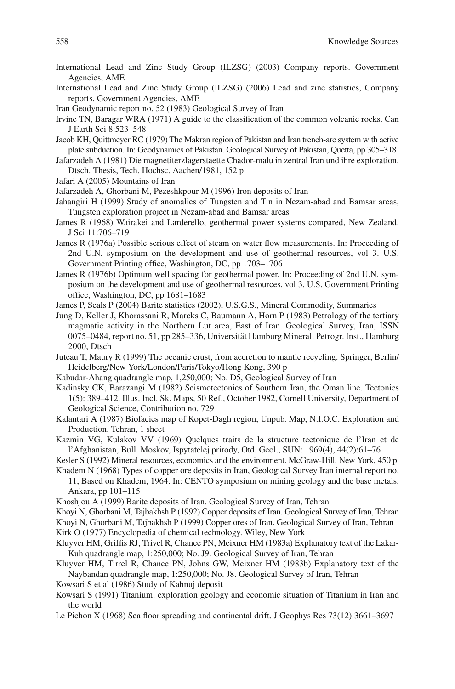- International Lead and Zinc Study Group (ILZSG) (2003) Company reports. Government Agencies, AME
- International Lead and Zinc Study Group (ILZSG) (2006) Lead and zinc statistics, Company reports, Government Agencies, AME
- Iran Geodynamic report no. 52 (1983) Geological Survey of Iran
- Irvine TN, Baragar WRA (1971) A guide to the classification of the common volcanic rocks. Can J Earth Sci 8:523–548

 Jacob KH, Quittmeyer RC (1979) The Makran region of Pakistan and Iran trench-arc system with active plate subduction. In: Geodynamics of Pakistan. Geological Survey of Pakistan, Quetta, pp 305–318

- Jafarzadeh A (1981) Die magnetiterzlagerstaette Chador-malu in zentral Iran und ihre exploration, Dtsch. Thesis, Tech. Hochsc. Aachen/1981, 152 p
- Jafari A (2005) Mountains of Iran
- Jafarzadeh A, Ghorbani M, Pezeshkpour M (1996) Iron deposits of Iran
- Jahangiri H (1999) Study of anomalies of Tungsten and Tin in Nezam-abad and Bamsar areas, Tungsten exploration project in Nezam-abad and Bamsar areas
- James R (1968) Wairakei and Larderello, geothermal power systems compared, New Zealand. J Sci 11:706–719
- James R (1976a) Possible serious effect of steam on water flow measurements. In: Proceeding of 2nd U.N. symposium on the development and use of geothermal resources, vol 3. U.S. Government Printing office, Washington, DC, pp 1703–1706
- James R (1976b) Optimum well spacing for geothermal power. In: Proceeding of 2nd U.N. symposium on the development and use of geothermal resources, vol 3. U.S. Government Printing office, Washington, DC, pp  $1681-1683$
- James P, Seals P (2004) Barite statistics (2002), U.S.G.S., Mineral Commodity, Summaries
- Jung D, Keller J, Khorassani R, Marcks C, Baumann A, Horn P (1983) Petrology of the tertiary magmatic activity in the Northern Lut area, East of Iran. Geological Survey, Iran, ISSN 0075–0484, report no. 51, pp 285–336, Universität Hamburg Mineral. Petrogr. Inst., Hamburg 2000, Dtsch
- Juteau T, Maury R (1999) The oceanic crust, from accretion to mantle recycling. Springer, Berlin/ Heidelberg/New York/London/Paris/Tokyo/Hong Kong, 390 p
- Kabudar-Ahang quadrangle map, 1,250,000; No. D5, Geological Survey of Iran
- Kadinsky CK, Barazangi M (1982) Seismotectonics of Southern Iran, the Oman line. Tectonics 1(5): 389–412, Illus. Incl. Sk. Maps, 50 Ref., October 1982, Cornell University, Department of Geological Science, Contribution no. 729
- Kalantari A (1987) Biofacies map of Kopet-Dagh region, Unpub. Map, N.I.O.C. Exploration and Production, Tehran, 1 sheet
- Kazmin VG, Kulakov VV (1969) Quelques traits de la structure tectonique de l'Iran et de l'Afghanistan, Bull. Moskov, Ispytatelej prirody, Otd. Geol., SUN: 1969(4), 44(2):61–76
- Kesler S (1992) Mineral resources, economics and the environment. McGraw-Hill, New York, 450 p
- Khadem N (1968) Types of copper ore deposits in Iran, Geological Survey Iran internal report no. 11, Based on Khadem, 1964. In: CENTO symposium on mining geology and the base metals, Ankara, pp 101–115
- Khoshjou A (1999) Barite deposits of Iran. Geological Survey of Iran, Tehran
- Khoyi N, Ghorbani M, Tajbakhsh P (1992) Copper deposits of Iran. Geological Survey of Iran, Tehran

Khoyi N, Ghorbani M, Tajbakhsh P (1999) Copper ores of Iran. Geological Survey of Iran, Tehran

Kirk O (1977) Encyclopedia of chemical technology. Wiley, New York

- Kluyver HM, Griffis RJ, Trivel R, Chance PN, Meixner HM (1983a) Explanatory text of the Lakar-Kuh quadrangle map, 1:250,000; No. J9. Geological Survey of Iran, Tehran
- Kluyver HM, Tirrel R, Chance PN, Johns GW, Meixner HM (1983b) Explanatory text of the Naybandan quadrangle map, 1:250,000; No. J8. Geological Survey of Iran, Tehran
- Kowsari S et al (1986) Study of Kahnuj deposit
- Kowsari S (1991) Titanium: exploration geology and economic situation of Titanium in Iran and the world
- Le Pichon X (1968) Sea floor spreading and continental drift. J Geophys Res 73(12):3661-3697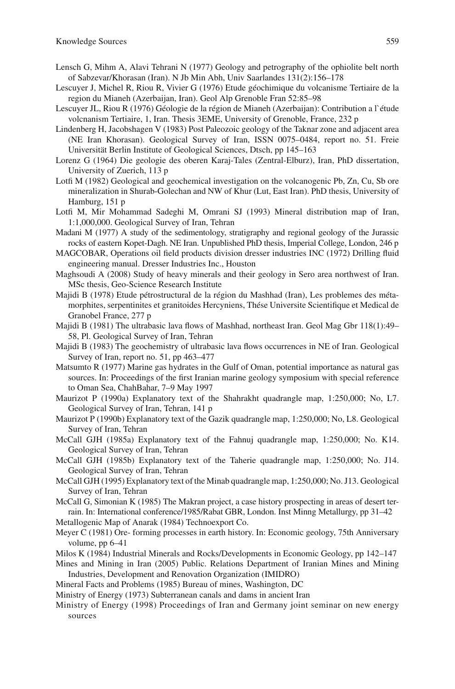- Lensch G, Mihm A, Alavi Tehrani N (1977) Geology and petrography of the ophiolite belt north of Sabzevar/Khorasan (Iran). N Jb Min Abh, Univ Saarlandes 131(2):156–178
- Lescuyer J, Michel R, Riou R, Vivier G (1976) Etude géochimique du volcanisme Tertiaire de la region du Mianeh (Azerbaijan, Iran). Geol Alp Grenoble Fran 52:85–98
- Lescuyer JL, Riou R (1976) Géologie de la région de Mianeh (Azerbaijan): Contribution a l`étude volcnanism Tertiaire, 1, Iran. Thesis 3EME, University of Grenoble, France, 232 p
- Lindenberg H, Jacobshagen V (1983) Post Paleozoic geology of the Taknar zone and adjacent area (NE Iran Khorasan). Geological Survey of Iran, ISSN 0075–0484, report no. 51. Freie Universität Berlin Institute of Geological Sciences, Dtsch, pp 145–163
- Lorenz G (1964) Die geologie des oberen Karaj-Tales (Zentral-Elburz), Iran, PhD dissertation, University of Zuerich, 113 p
- Lotfi M (1982) Geological and geochemical investigation on the volcanogenic Pb, Zn, Cu, Sb ore mineralization in Shurab-Golechan and NW of Khur (Lut, East Iran). PhD thesis, University of Hamburg, 151 p
- Lotfi M, Mir Mohammad Sadeghi M, Omrani SJ (1993) Mineral distribution map of Iran, 1:1,000,000. Geological Survey of Iran, Tehran
- Madani M (1977) A study of the sedimentology, stratigraphy and regional geology of the Jurassic rocks of eastern Kopet-Dagh. NE Iran. Unpublished PhD thesis, Imperial College, London, 246 p
- MAGCOBAR, Operations oil field products division dresser industries INC (1972) Drilling fluid engineering manual. Dresser Industries Inc., Houston
- Maghsoudi A (2008) Study of heavy minerals and their geology in Sero area northwest of Iran. MSc thesis, Geo-Science Research Institute
- Majidi B (1978) Etude pétrostructural de la région du Mashhad (Iran), Les problemes des métamorphites, serpentinites et granitoides Hercyniens, Thése Universite Scientifique et Medical de Granobel France, 277 p
- Majidi B (1981) The ultrabasic lava flows of Mashhad, northeast Iran. Geol Mag Gbr  $118(1):49-$ 58, Pl. Geological Survey of Iran, Tehran
- Majidi B (1983) The geochemistry of ultrabasic lava flows occurrences in NE of Iran. Geological Survey of Iran, report no. 51, pp 463–477
- Matsumto R (1977) Marine gas hydrates in the Gulf of Oman, potential importance as natural gas sources. In: Proceedings of the first Iranian marine geology symposium with special reference to Oman Sea, ChahBahar, 7–9 May 1997
- Maurizot P (1990a) Explanatory text of the Shahrakht quadrangle map, 1:250,000; No, L7. Geological Survey of Iran, Tehran, 141 p
- Maurizot P (1990b) Explanatory text of the Gazik quadrangle map, 1:250,000; No, L8. Geological Survey of Iran, Tehran
- McCall GJH (1985a) Explanatory text of the Fahnuj quadrangle map, 1:250,000; No. K14. Geological Survey of Iran, Tehran
- McCall GJH (1985b) Explanatory text of the Taherie quadrangle map, 1:250,000; No. J14. Geological Survey of Iran, Tehran
- McCall GJH (1995) Explanatory text of the Minab quadrangle map, 1:250,000; No. J13. Geological Survey of Iran, Tehran
- McCall G, Simonian K (1985) The Makran project, a case history prospecting in areas of desert terrain. In: International conference/1985/Rabat GBR, London. Inst Minng Metallurgy, pp 31–42
- Metallogenic Map of Anarak (1984) Technoexport Co.
- Meyer C (1981) Ore- forming processes in earth history. In: Economic geology, 75th Anniversary volume, pp 6–41
- Milos K (1984) Industrial Minerals and Rocks/Developments in Economic Geology, pp 142–147
- Mines and Mining in Iran (2005) Public. Relations Department of Iranian Mines and Mining Industries, Development and Renovation Organization (IMIDRO)
- Mineral Facts and Problems (1985) Bureau of mines, Washington, DC
- Ministry of Energy (1973) Subterranean canals and dams in ancient Iran
- Ministry of Energy (1998) Proceedings of Iran and Germany joint seminar on new energy sources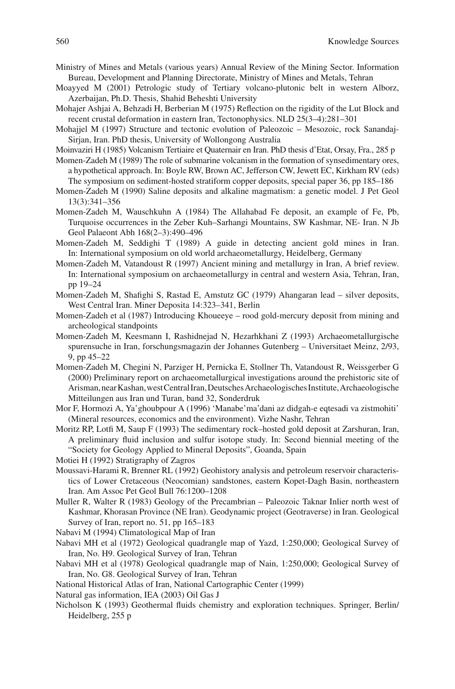- Ministry of Mines and Metals (various years) Annual Review of the Mining Sector. Information Bureau, Development and Planning Directorate, Ministry of Mines and Metals, Tehran
- Moayyed M (2001) Petrologic study of Tertiary volcano-plutonic belt in western Alborz, Azerbaijan, Ph.D. Thesis, Shahid Beheshti University
- Mohajer Ashjai A, Behzadi H, Berberian M (1975) Reflection on the rigidity of the Lut Block and recent crustal deformation in eastern Iran, Tectonophysics. NLD 25(3–4):281–301
- Mohajjel M (1997) Structure and tectonic evolution of Paleozoic Mesozoic, rock Sanandaj-Sirjan, Iran. PhD thesis, University of Wollongong Australia
- Moinvaziri H (1985) Volcanism Tertiaire et Quaternair en Iran. PhD thesis d'Etat, Orsay, Fra., 285 p
- Momen-Zadeh M (1989) The role of submarine volcanism in the formation of synsedimentary ores, a hypothetical approach. In: Boyle RW, Brown AC, Jefferson CW, Jewett EC, Kirkham RV (eds) The symposium on sediment-hosted stratiform copper deposits, special paper 36, pp 185–186
- Momen-Zadeh M (1990) Saline deposits and alkaline magmatism: a genetic model. J Pet Geol 13(3):341–356
- Momen-Zadeh M, Wauschkuhn A (1984) The Allahabad Fe deposit, an example of Fe, Pb, Turquoise occurrences in the Zeber Kuh–Sarhangi Mountains, SW Kashmar, NE- Iran. N Jb Geol Palaeont Abh 168(2–3):490–496
- Momen-Zadeh M, Seddighi T (1989) A guide in detecting ancient gold mines in Iran. In: International symposium on old world archaeometallurgy, Heidelberg, Germany
- Momen-Zadeh M, Vatandoust R (1997) Ancient mining and metallurgy in Iran, A brief review. In: International symposium on archaeometallurgy in central and western Asia, Tehran, Iran, pp 19–24
- Momen-Zadeh M, Shafighi S, Rastad E, Amstutz GC (1979) Ahangaran lead silver deposits, West Central Iran. Miner Deposita 14:323–341, Berlin
- Momen-Zadeh et al (1987) Introducing Khoueeye rood gold-mercury deposit from mining and archeological standpoints
- Momen-Zadeh M, Keesmann I, Rashidnejad N, Hezarhkhani Z (1993) Archaeometallurgische spurensuche in Iran, forschungsmagazin der Johannes Gutenberg – Universitaet Meinz, 2/93, 9, pp 45–22
- Momen-Zadeh M, Chegini N, Parziger H, Pernicka E, Stollner Th, Vatandoust R, Weissgerber G (2000) Preliminary report on archaeometallurgical investigations around the prehistoric site of Arisman, near Kashan, west Central Iran, Deutsches Archaeologisches Institute, Archaeologische Mitteilungen aus Iran und Turan, band 32, Sonderdruk
- Mor F, Hormozi A, Ya'ghoubpour A (1996) 'Manabe'ma'dani az didgah-e eqtesadi va zistmohiti' (Mineral resources, economics and the environment). Vizhe Nashr, Tehran
- Moritz RP, Lotfi M, Saup F (1993) The sedimentary rock–hosted gold deposit at Zarshuran, Iran, A preliminary fluid inclusion and sulfur isotope study. In: Second biennial meeting of the "Society for Geology Applied to Mineral Deposits", Goanda, Spain

Motiei H (1992) Stratigraphy of Zagros

- Moussavi-Harami R, Brenner RL (1992) Geohistory analysis and petroleum reservoir characteristics of Lower Cretaceous (Neocomian) sandstones, eastern Kopet-Dagh Basin, northeastern Iran. Am Assoc Pet Geol Bull 76:1200–1208
- Muller R, Walter R (1983) Geology of the Precambrian Paleozoic Taknar Inlier north west of Kashmar, Khorasan Province (NE Iran). Geodynamic project (Geotraverse) in Iran. Geological Survey of Iran, report no. 51, pp 165–183

Nabavi M (1994) Climatological Map of Iran

- Nabavi MH et al (1972) Geological quadrangle map of Yazd, 1:250,000; Geological Survey of Iran, No. H9. Geological Survey of Iran, Tehran
- Nabavi MH et al (1978) Geological quadrangle map of Nain, 1:250,000; Geological Survey of Iran, No. G8. Geological Survey of Iran, Tehran

National Historical Atlas of Iran, National Cartographic Center (1999)

Natural gas information, IEA (2003) Oil Gas J

Nicholson K (1993) Geothermal fluids chemistry and exploration techniques. Springer, Berlin/ Heidelberg, 255 p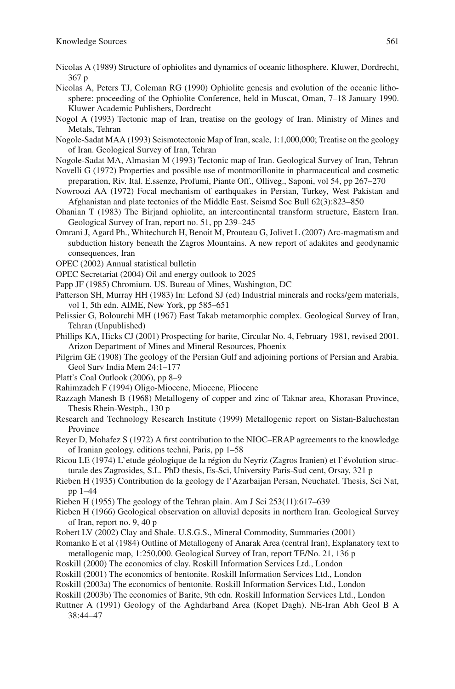- Nicolas A (1989) Structure of ophiolites and dynamics of oceanic lithosphere. Kluwer, Dordrecht, 367 p
- Nicolas A, Peters TJ, Coleman RG (1990) Ophiolite genesis and evolution of the oceanic lithosphere: proceeding of the Ophiolite Conference, held in Muscat, Oman, 7–18 January 1990. Kluwer Academic Publishers, Dordrecht
- Nogol A (1993) Tectonic map of Iran, treatise on the geology of Iran. Ministry of Mines and Metals, Tehran
- Nogole-Sadat MAA (1993) Seismotectonic Map of Iran, scale, 1:1,000,000; Treatise on the geology of Iran. Geological Survey of Iran, Tehran
- Nogole-Sadat MA, Almasian M (1993) Tectonic map of Iran. Geological Survey of Iran, Tehran
- Novelli G (1972) Properties and possible use of montmorillonite in pharmaceutical and cosmetic preparation, Riv. Ital. E.ssenze, Profumi, Piante Off., Olliveg., Saponi, vol 54, pp 267–270
- Nowroozi AA (1972) Focal mechanism of earthquakes in Persian, Turkey, West Pakistan and Afghanistan and plate tectonics of the Middle East. Seismd Soc Bull 62(3):823–850
- Ohanian T (1983) The Birjand ophiolite, an intercontinental transform structure, Eastern Iran. Geological Survey of Iran, report no. 51, pp 239–245
- Omrani J, Agard Ph., Whitechurch H, Benoit M, Prouteau G, Jolivet L (2007) Arc-magmatism and subduction history beneath the Zagros Mountains. A new report of adakites and geodynamic consequences, Iran
- OPEC (2002) Annual statistical bulletin
- OPEC Secretariat (2004) Oil and energy outlook to 2025
- Papp JF (1985) Chromium. US. Bureau of Mines, Washington, DC
- Patterson SH, Murray HH (1983) In: Lefond SJ (ed) Industrial minerals and rocks/gem materials, vol 1, 5th edn. AIME, New York, pp 585–651
- Pelissier G, Bolourchi MH (1967) East Takab metamorphic complex. Geological Survey of Iran, Tehran (Unpublished)
- Phillips KA, Hicks CJ (2001) Prospecting for barite, Circular No. 4, February 1981, revised 2001. Arizon Department of Mines and Mineral Resources, Phoenix
- Pilgrim GE (1908) The geology of the Persian Gulf and adjoining portions of Persian and Arabia. Geol Surv India Mem 24:1–177
- Platt's Coal Outlook (2006), pp 8–9
- Rahimzadeh F (1994) Oligo-Miocene, Miocene, Pliocene
- Razzagh Manesh B (1968) Metallogeny of copper and zinc of Taknar area, Khorasan Province, Thesis Rhein-Westph., 130 p
- Research and Technology Research Institute (1999) Metallogenic report on Sistan-Baluchestan Province
- Reyer D, Mohafez S (1972) A first contribution to the NIOC–ERAP agreements to the knowledge of Iranian geology. editions techni, Paris, pp 1–58
- Ricou LE (1974) L`etude géologique de la région du Neyriz (Zagros Iranien) et l`évolution structurale des Zagrosides, S.L. PhD thesis, Es-Sci, University Paris-Sud cent, Orsay, 321 p
- Rieben H (1935) Contribution de la geology de l'Azarbaijan Persan, Neuchatel. Thesis, Sci Nat, pp 1–44
- Rieben H (1955) The geology of the Tehran plain. Am J Sci 253(11):617–639
- Rieben H (1966) Geological observation on alluvial deposits in northern Iran. Geological Survey of Iran, report no. 9, 40 p
- Robert LV (2002) Clay and Shale. U.S.G.S., Mineral Commodity, Summaries (2001)
- Romanko E et al (1984) Outline of Metallogeny of Anarak Area (central Iran), Explanatory text to metallogenic map, 1:250,000. Geological Survey of Iran, report TE/No. 21, 136 p
- Roskill (2000) The economics of clay. Roskill Information Services Ltd., London
- Roskill (2001) The economics of bentonite. Roskill Information Services Ltd., London
- Roskill (2003a) The economics of bentonite. Roskill Information Services Ltd., London
- Roskill (2003b) The economics of Barite, 9th edn. Roskill Information Services Ltd., London
- Ruttner A (1991) Geology of the Aghdarband Area (Kopet Dagh). NE-Iran Abh Geol B A 38:44–47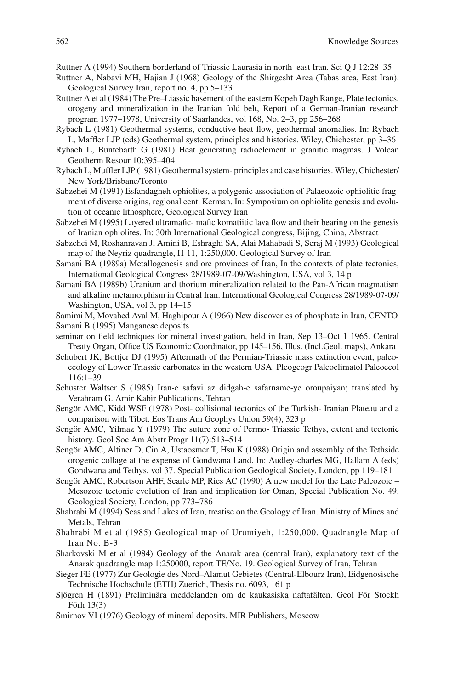Ruttner A (1994) Southern borderland of Triassic Laurasia in north–east Iran. Sci Q J 12:28–35

- Ruttner A, Nabavi MH, Hajian J (1968) Geology of the Shirgesht Area (Tabas area, East Iran). Geological Survey Iran, report no. 4, pp 5–133
- Ruttner A et al (1984) The Pre–Liassic basement of the eastern Kopeh Dagh Range, Plate tectonics, orogeny and mineralization in the Iranian fold belt, Report of a German-Iranian research program 1977–1978, University of Saarlandes, vol 168, No. 2–3, pp 256–268
- Rybach L (1981) Geothermal systems, conductive heat flow, geothermal anomalies. In: Rybach L, Maffler LJP (eds) Geothermal system, principles and histories. Wiley, Chichester, pp 3–36
- Rybach L, Buntebarth G (1981) Heat generating radioelement in granitic magmas. J Volcan Geotherm Resour 10:395–404
- Rybach L, Muffler LJP (1981) Geothermal system- principles and case histories. Wiley, Chichester/ New York/Brisbane/Toronto
- Sabzehei M (1991) Esfandagheh ophiolites, a polygenic association of Palaeozoic ophiolitic fragment of diverse origins, regional cent. Kerman. In: Symposium on ophiolite genesis and evolution of oceanic lithosphere, Geological Survey Iran
- Sabzehei M (1995) Layered ultramafic- mafic komatiitic lava flow and their bearing on the genesis of Iranian ophiolites. In: 30th International Geological congress, Bijing, China, Abstract
- Sabzehei M, Roshanravan J, Amini B, Eshraghi SA, Alai Mahabadi S, Seraj M (1993) Geological map of the Neyriz quadrangle, H-11, 1:250,000. Geological Survey of Iran
- Samani BA (1989a) Metallogenesis and ore provinces of Iran, In the contexts of plate tectonics, International Geological Congress 28/1989-07-09/Washington, USA, vol 3, 14 p
- Samani BA (1989b) Uranium and thorium mineralization related to the Pan-African magmatism and alkaline metamorphism in Central Iran. International Geological Congress 28/1989-07-09/ Washington, USA, vol 3, pp 14–15
- Samimi M, Movahed Aval M, Haghipour A (1966) New discoveries of phosphate in Iran, CENTO Samani B (1995) Manganese deposits
- seminar on field techniques for mineral investigation, held in Iran, Sep 13–Oct 1 1965. Central Treaty Organ, Office US Economic Coordinator, pp 145–156, Illus. (Incl.Geol. maps), Ankara
- Schubert JK, Bottjer DJ (1995) Aftermath of the Permian-Triassic mass extinction event, paleoecology of Lower Triassic carbonates in the western USA. Pleogeogr Paleoclimatol Paleoecol 116:1–39
- Schuster Waltser S (1985) Iran-e safavi az didgah-e safarname-ye oroupaiyan; translated by Verahram G. Amir Kabir Publications, Tehran
- Sengör AMC, Kidd WSF (1978) Post- collisional tectonics of the Turkish- Iranian Plateau and a comparison with Tibet. Eos Trans Am Geophys Union 59(4), 323 p
- Sengör AMC, Yilmaz Y (1979) The suture zone of Permo- Triassic Tethys, extent and tectonic history. Geol Soc Am Abstr Progr 11(7):513–514
- Sengör AMC, Altiner D, Cin A, Ustaosmer T, Hsu K (1988) Origin and assembly of the Tethside orogenic collage at the expense of Gondwana Land. In: Audley-charles MG, Hallam A (eds) Gondwana and Tethys, vol 37. Special Publication Geological Society, London, pp 119–181
- Sengör AMC, Robertson AHF, Searle MP, Ries AC (1990) A new model for the Late Paleozoic Mesozoic tectonic evolution of Iran and implication for Oman, Special Publication No. 49. Geological Society, London, pp 773–786
- Shahrabi M (1994) Seas and Lakes of Iran, treatise on the Geology of Iran. Ministry of Mines and Metals, Tehran
- Shahrabi M et al (1985) Geological map of Urumiyeh, 1:250,000. Quadrangle Map of Iran No. B-3
- Sharkovski M et al (1984) Geology of the Anarak area (central Iran), explanatory text of the Anarak quadrangle map 1:250000, report TE/No. 19. Geological Survey of Iran, Tehran
- Sieger FE (1977) Zur Geologie des Nord–Alamut Gebietes (Central-Elbourz Iran), Eidgenosische Technische Hochschule (ETH) Zuerich, Thesis no. 6093, 161 p
- Sjögren H (1891) Preliminära meddelanden om de kaukasiska naftafälten. Geol För Stockh Förh 13(3)
- Smirnov VI (1976) Geology of mineral deposits. MIR Publishers, Moscow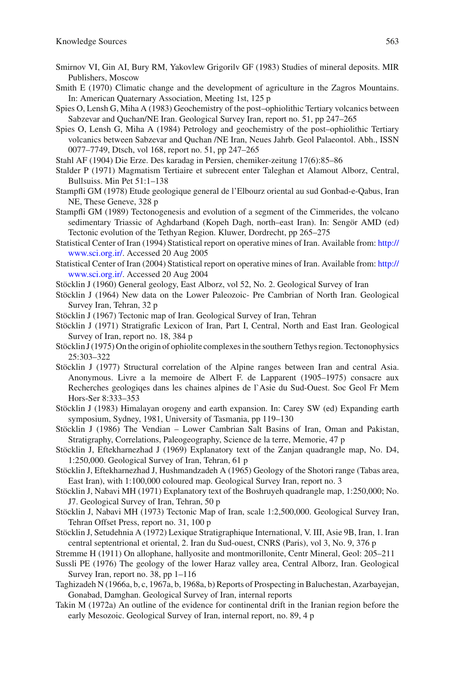- Smirnov VI, Gin AI, Bury RM, Yakovlew Grigorilv GF (1983) Studies of mineral deposits. MIR Publishers, Moscow
- Smith E (1970) Climatic change and the development of agriculture in the Zagros Mountains. In: American Quaternary Association, Meeting 1st, 125 p
- Spies O, Lensh G, Miha A (1983) Geochemistry of the post–ophiolithic Tertiary volcanics between Sabzevar and Quchan/NE Iran. Geological Survey Iran, report no. 51, pp 247–265
- Spies O, Lensh G, Miha A (1984) Petrology and geochemistry of the post–ophiolithic Tertiary volcanics between Sabzevar and Quchan /NE Iran, Neues Jahrb. Geol Palaeontol. Abh., ISSN 0077–7749, Dtsch, vol 168, report no. 51, pp 247–265
- Stahl AF (1904) Die Erze. Des karadag in Persien, chemiker-zeitung 17(6):85–86
- Stalder P (1971) Magmatism Tertiaire et subrecent enter Taleghan et Alamout Alborz, Central, Bullsuiss. Min Pet 51:1–138
- Stampfli GM (1978) Etude geologique general de l'Elbourz oriental au sud Gonbad-e-Qabus, Iran NE, These Geneve, 328 p
- Stampfli GM (1989) Tectonogenesis and evolution of a segment of the Cimmerides, the volcano sedimentary Triassic of Aghdarband (Kopeh Dagh, north–east Iran). In: Sengör AMD (ed) Tectonic evolution of the Tethyan Region. Kluwer, Dordrecht, pp 265–275
- Statistical Center of Iran (1994) Statistical report on operative mines of Iran. Available from: [http://](http://www.sci.org.ir/) [www.sci.org.ir/](http://www.sci.org.ir/). Accessed 20 Aug 2005
- Statistical Center of Iran (2004) Statistical report on operative mines of Iran. Available from: [http://](http://www.sci.org.ir/) [www.sci.org.ir/](http://www.sci.org.ir/). Accessed 20 Aug 2004
- Stöcklin J (1960) General geology, East Alborz, vol 52, No. 2. Geological Survey of Iran
- Stöcklin J (1964) New data on the Lower Paleozoic- Pre Cambrian of North Iran. Geological Survey Iran, Tehran, 32 p
- Stöcklin J (1967) Tectonic map of Iran. Geological Survey of Iran, Tehran
- Stöcklin J (1971) Stratigrafic Lexicon of Iran, Part I, Central, North and East Iran. Geological Survey of Iran, report no. 18, 384 p
- Stöcklin J (1975) On the origin of ophiolite complexes in the southern Tethys region. Tectonophysics 25:303–322
- Stöcklin J (1977) Structural correlation of the Alpine ranges between Iran and central Asia. Anonymous. Livre a la memoire de Albert F. de Lapparent (1905–1975) consacre aux Recherches geologiqes dans les chaines alpines de l`Asie du Sud-Ouest. Soc Geol Fr Mem Hors-Ser 8:333–353
- Stöcklin J (1983) Himalayan orogeny and earth expansion. In: Carey SW (ed) Expanding earth symposium, Sydney, 1981, University of Tasmania, pp 119–130
- Stöcklin J (1986) The Vendian Lower Cambrian Salt Basins of Iran, Oman and Pakistan, Stratigraphy, Correlations, Paleogeography, Science de la terre, Memorie, 47 p
- Stöcklin J, Eftekharnezhad J (1969) Explanatory text of the Zanjan quadrangle map, No. D4, 1:250,000. Geological Survey of Iran, Tehran, 61 p
- Stöcklin J, Eftekharnezhad J, Hushmandzadeh A (1965) Geology of the Shotori range (Tabas area, East Iran), with 1:100,000 coloured map. Geological Survey Iran, report no. 3
- Stöcklin J, Nabavi MH (1971) Explanatory text of the Boshruyeh quadrangle map, 1:250,000; No. J7. Geological Survey of Iran, Tehran, 50 p
- Stöcklin J, Nabavi MH (1973) Tectonic Map of Iran, scale 1:2,500,000. Geological Survey Iran, Tehran Offset Press, report no. 31, 100 p
- Stöcklin J, Setudehnia A (1972) Lexique Stratigraphique International, V. III, Asie 9B, Iran, 1. Iran central septentrional et oriental, 2. Iran du Sud-ouest, CNRS (Paris), vol 3, No. 9, 376 p
- Stremme H (1911) On allophane, hallyosite and montmorillonite, Centr Mineral, Geol: 205–211
- Sussli PE (1976) The geology of the lower Haraz valley area, Central Alborz, Iran. Geological Survey Iran, report no. 38, pp 1–116
- Taghizadeh N (1966a, b, c, 1967a, b, 1968a, b) Reports of Prospecting in Baluchestan, Azarbayejan, Gonabad, Damghan. Geological Survey of Iran, internal reports
- Takin M (1972a) An outline of the evidence for continental drift in the Iranian region before the early Mesozoic. Geological Survey of Iran, internal report, no. 89, 4 p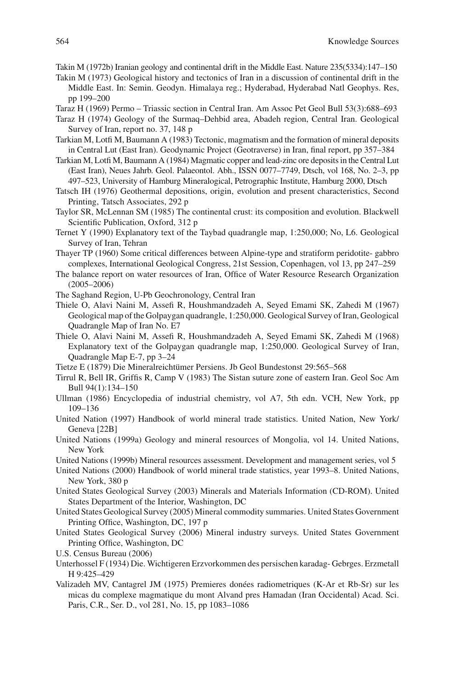Takin M (1972b) Iranian geology and continental drift in the Middle East. Nature 235(5334):147–150

- Takin M (1973) Geological history and tectonics of Iran in a discussion of continental drift in the Middle East. In: Semin. Geodyn. Himalaya reg.; Hyderabad, Hyderabad Natl Geophys. Res, pp 199–200
- Taraz H (1969) Permo Triassic section in Central Iran. Am Assoc Pet Geol Bull 53(3):688–693
- Taraz H (1974) Geology of the Surmaq–Dehbid area, Abadeh region, Central Iran. Geological Survey of Iran, report no. 37, 148 p
- Tarkian M, Lotfi M, Baumann A (1983) Tectonic, magmatism and the formation of mineral deposits in Central Lut (East Iran). Geodynamic Project (Geotraverse) in Iran, final report, pp 357–384
- Tarkian M, Lotfi M, Baumann A (1984) Magmatic copper and lead-zinc ore deposits in the Central Lut (East Iran), Neues Jahrb. Geol. Palaeontol. Abh., ISSN 0077–7749, Dtsch, vol 168, No. 2–3, pp 497–523, University of Hamburg Mineralogical, Petrographic Institute, Hamburg 2000, Dtsch
- Tatsch IH (1976) Geothermal depositions, origin, evolution and present characteristics, Second Printing, Tatsch Associates, 292 p.
- Taylor SR, McLennan SM (1985) The continental crust: its composition and evolution. Blackwell Scientific Publication, Oxford, 312 p.
- Ternet Y (1990) Explanatory text of the Taybad quadrangle map, 1:250,000; No, L6. Geological Survey of Iran, Tehran
- Thayer TP (1960) Some critical differences between Alpine-type and stratiform peridotite- gabbro complexes, International Geological Congress, 21st Session, Copenhagen, vol 13, pp 247–259
- The balance report on water resources of Iran, Office of Water Resource Research Organization (2005–2006)
- The Saghand Region, U-Pb Geochronology, Central Iran
- Thiele O, Alavi Naini M, Assefi R, Houshmandzadeh A, Seyed Emami SK, Zahedi M (1967) Geological map of the Golpaygan quadrangle, 1:250,000. Geological Survey of Iran, Geological Quadrangle Map of Iran No. E7
- Thiele O, Alavi Naini M, Assefi R, Houshmandzadeh A, Seyed Emami SK, Zahedi M (1968) Explanatory text of the Golpaygan quadrangle map, 1:250,000. Geological Survey of Iran, Quadrangle Map E-7, pp 3–24
- Tietze E (1879) Die Mineralreichtümer Persiens. Jb Geol Bundestonst 29:565–568
- Tirrul R, Bell IR, Griffis R, Camp V (1983) The Sistan suture zone of eastern Iran. Geol Soc Am Bull 94(1):134–150
- Ullman (1986) Encyclopedia of industrial chemistry, vol A7, 5th edn. VCH, New York, pp 109–136
- United Nation (1997) Handbook of world mineral trade statistics. United Nation, New York/ Geneva [22B]
- United Nations (1999a) Geology and mineral resources of Mongolia, vol 14. United Nations, New York
- United Nations (1999b) Mineral resources assessment. Development and management series, vol 5
- United Nations (2000) Handbook of world mineral trade statistics, year 1993–8. United Nations, New York, 380 p
- United States Geological Survey (2003) Minerals and Materials Information (CD-ROM). United States Department of the Interior, Washington, DC
- United States Geological Survey (2005) Mineral commodity summaries. United States Government Printing Office, Washington, DC, 197 p
- United States Geological Survey (2006) Mineral industry surveys. United States Government Printing Office, Washington, DC
- U.S. Census Bureau (2006)
- Unterhossel F (1934) Die. Wichtigeren Erzvorkommen des persischen karadag- Gebrges. Erzmetall H 9:425–429
- Valizadeh MV, Cantagrel JM (1975) Premieres donées radiometriques (K-Ar et Rb-Sr) sur les micas du complexe magmatique du mont Alvand pres Hamadan (Iran Occidental) Acad. Sci. Paris, C.R., Ser. D., vol 281, No. 15, pp 1083–1086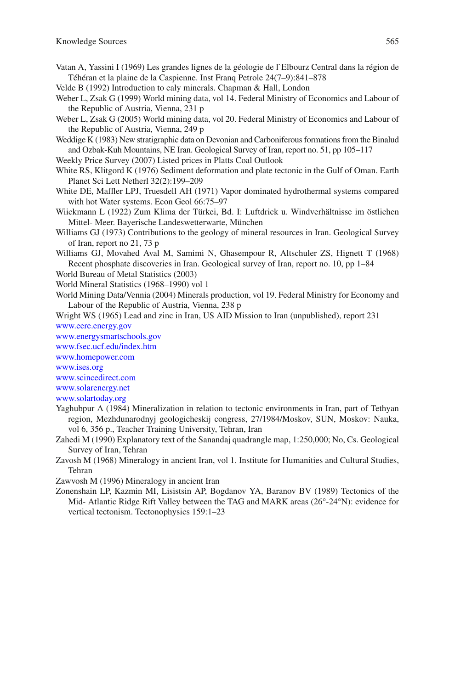- Vatan A, Yassini I (1969) Les grandes lignes de la géologie de l`Elbourz Central dans la région de Téhéran et la plaine de la Caspienne. Inst Franq Petrole 24(7–9):841–878
- Velde B (1992) Introduction to caly minerals. Chapman & Hall, London
- Weber L, Zsak G (1999) World mining data, vol 14. Federal Ministry of Economics and Labour of the Republic of Austria, Vienna, 231 p
- Weber L, Zsak G (2005) World mining data, vol 20. Federal Ministry of Economics and Labour of the Republic of Austria, Vienna, 249 p
- Weddige K (1983) New stratigraphic data on Devonian and Carboniferous formations from the Binalud and Ozbak-Kuh Mountains, NE Iran. Geological Survey of Iran, report no. 51, pp 105–117
- Weekly Price Survey (2007) Listed prices in Platts Coal Outlook
- White RS, Klitgord K (1976) Sediment deformation and plate tectonic in the Gulf of Oman. Earth Planet Sci Lett Netherl 32(2):199–209
- White DE, Maffler LPJ, Truesdell AH (1971) Vapor dominated hydrothermal systems compared with hot Water systems. Econ Geol 66:75–97
- Wiickmann L (1922) Zum Klima der Türkei, Bd. I: Luftdrick u. Windverhältnisse im östlichen Mittel- Meer. Bayerische Landeswetterwarte, München
- Williams GJ (1973) Contributions to the geology of mineral resources in Iran. Geological Survey of Iran, report no 21, 73 p
- Williams GJ, Movahed Aval M, Samimi N, Ghasempour R, Altschuler ZS, Hignett T (1968) Recent phosphate discoveries in Iran. Geological survey of Iran, report no. 10, pp 1–84
- World Bureau of Metal Statistics (2003)
- World Mineral Statistics (1968–1990) vol 1
- World Mining Data/Vennia (2004) Minerals production, vol 19. Federal Ministry for Economy and Labour of the Republic of Austria, Vienna, 238 p
- Wright WS (1965) Lead and zinc in Iran, US AID Mission to Iran (unpublished), report 231  [www.eere.energy.gov](http://www.eere.energy.gov)
- [www.energysmartschools.gov](http://www.energysmartschools.gov)

 [www.fsec.ucf.edu/index.htm](http://www.fsec.ucf.edu/index.htm)

 [www.homepower.com](http://www.homepower.com)

 [www.ises.org](http://www.ises.org) 

 [www.scincedirect.com](http://www.scincedirect.com)

 [www.solarenergy.net](http://www.solarenergy.net)

 [www.solartoday.org](http://www.solartoday.org)

- Yaghubpur A (1984) Mineralization in relation to tectonic environments in Iran, part of Tethyan region, Mezhdunarodnyj geologicheskij congress, 27/1984/Moskov, SUN, Moskov: Nauka, vol 6, 356 p., Teacher Training University, Tehran, Iran
- Zahedi M (1990) Explanatory text of the Sanandaj quadrangle map, 1:250,000; No, Cs. Geological Survey of Iran, Tehran
- Zavosh M (1968) Mineralogy in ancient Iran, vol 1. Institute for Humanities and Cultural Studies, Tehran

Zawvosh M (1996) Mineralogy in ancient Iran

 Zonenshain LP, Kazmin MI, Lisistsin AP, Bogdanov YA, Baranov BV (1989) Tectonics of the Mid- Atlantic Ridge Rift Valley between the TAG and MARK areas (26°-24°N): evidence for vertical tectonism. Tectonophysics 159:1–23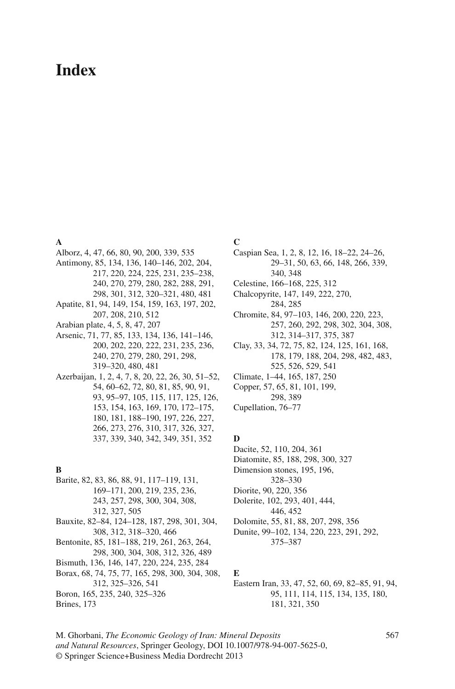# **Index**

#### **A**

 Alborz , 4, 47, 66, 80, 90, 200, 339, 535 Antimony , 85, 134, 136, 140–146, 202, 204, 217, 220, 224, 225, 231, 235–238, 240, 270, 279, 280, 282, 288, 291, 298, 301, 312, 320–321, 480, 481 Apatite , 81, 94, 149, 154, 159, 163, 197, 202, 207, 208, 210, 512 Arabian plate, 4, 5, 8, 47, 207 Arsenic, 71, 77, 85, 133, 134, 136, 141-146, 200, 202, 220, 222, 231, 235, 236, 240, 270, 279, 280, 291, 298, 319–320, 480, 481 Azerbaijan, 1, 2, 4, 7, 8, 20, 22, 26, 30, 51–52, 54, 60–62, 72, 80, 81, 85, 90, 91, 93, 95–97, 105, 115, 117, 125, 126, 153, 154, 163, 169, 170, 172–175, 180, 181, 188–190, 197, 226, 227, 266, 273, 276, 310, 317, 326, 327, 337, 339, 340, 342, 349, 351, 352

### **B**

- Barite , 82, 83, 86, 88, 91, 117–119, 131, 169–171, 200, 219, 235, 236, 243, 257, 298, 300, 304, 308, 312, 327, 505
- Bauxite , 82–84, 124–128, 187, 298, 301, 304, 308, 312, 318–320, 466
- Bentonite , 85, 181–188, 219, 261, 263, 264, 298, 300, 304, 308, 312, 326, 489
- Bismuth , 136, 146, 147, 220, 224, 235, 284
- Borax , 68, 74, 75, 77, 165, 298, 300, 304, 308, 312, 325–326, 541 Boron , 165, 235, 240, 325–326
- Brines, 173

#### **C**

- Caspian Sea, 1, 2, 8, 12, 16, 18–22, 24–26, 29–31, 50, 63, 66, 148, 266, 339, 340, 348
- Celestine, 166-168, 225, 312
- Chalcopyrite, 147, 149, 222, 270, 284, 285
- Chromite , 84, 97–103, 146, 200, 220, 223, 257, 260, 292, 298, 302, 304, 308, 312, 314–317, 375, 387
- Clay , 33, 34, 72, 75, 82, 124, 125, 161, 168, 178, 179, 188, 204, 298, 482, 483, 525, 526, 529, 541
- Climate, 1-44, 165, 187, 250
- Copper, 57, 65, 81, 101, 199, 298, 389
- Cupellation, 76-77

#### **D**

- Dacite, 52, 110, 204, 361
- Diatomite, 85, 188, 298, 300, 327
- Dimension stones, 195, 196,
- 328–330
- Diorite, 90, 220, 356
- Dolerite, 102, 293, 401, 444,
- 446, 452
- Dolomite , 55, 81, 88, 207, 298, 356
- Dunite, 99-102, 134, 220, 223, 291, 292, 375–387

### **E**

- Eastern Iran, 33, 47, 52, 60, 69, 82-85, 91, 94, 95, 111, 114, 115, 134, 135, 180, 181, 321, 350
- M. Ghorbani, *The Economic Geology of Iran: Mineral Deposits and Natural Resources*, Springer Geology, DOI 10.1007/978-94-007-5625-0, © Springer Science+Business Media Dordrecht 2013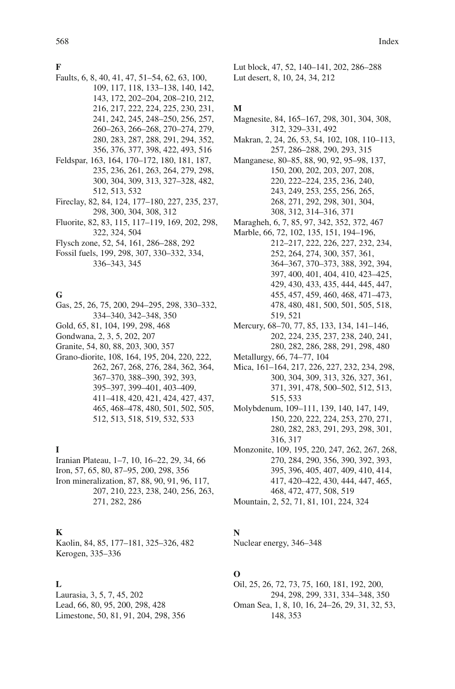#### **F**

- Faults , 6, 8, 40, 41, 47, 51–54, 62, 63, 100, 109, 117, 118, 133–138, 140, 142, 143, 172, 202–204, 208–210, 212, 216, 217, 222, 224, 225, 230, 231, 241, 242, 245, 248–250, 256, 257, 260–263, 266–268, 270–274, 279, 280, 283, 287, 288, 291, 294, 352, 356, 376, 377, 398, 422, 493, 516
- Feldspar, 163, 164, 170-172, 180, 181, 187, 235, 236, 261, 263, 264, 279, 298, 300, 304, 309, 313, 327–328, 482, 512, 513, 532
- Fireclay , 82, 84, 124, 177–180, 227, 235, 237, 298, 300, 304, 308, 312
- Fluorite , 82, 83, 115, 117–119, 169, 202, 298, 322, 324, 504
- Flysch zone , 52, 54, 161, 286–288, 292
- Fossil fuels , 199, 298, 307, 330–332, 334, 336–343, 345

#### **G**

- Gas, 25, 26, 75, 200, 294–295, 298, 330–332, 334–340, 342–348, 350
- Gold, 65, 81, 104, 199, 298, 468
- Gondwana, 2, 3, 5, 202, 207
- Granite, 54, 80, 88, 203, 300, 357
- Grano-diorite, 108, 164, 195, 204, 220, 222, 262, 267, 268, 276, 284, 362, 364, 367–370, 388–390, 392, 393, 395–397, 399–401, 403–409, 411–418, 420, 421, 424, 427, 437, 465, 468–478, 480, 501, 502, 505, 512, 513, 518, 519, 532, 533

# **I**

Iranian Plateau, 1-7, 10, 16-22, 29, 34, 66 Iron , 57, 65, 80, 87–95, 200, 298, 356 Iron mineralization , 87, 88, 90, 91, 96, 117, 207, 210, 223, 238, 240, 256, 263, 271, 282, 286

## **K**

Kaolin, 84, 85, 177-181, 325-326, 482 Kerogen, 335-336

### **L**

 Laurasia , 3, 5, 7, 45, 202 Lead, 66, 80, 95, 200, 298, 428 Limestone, 50, 81, 91, 204, 298, 356  Lut block , 47, 52, 140–141, 202, 286–288 Lut desert, 8, 10, 24, 34, 212

### **M**

Magnesite, 84, 165–167, 298, 301, 304, 308, 312, 329–331, 492 Makran, 2, 24, 26, 53, 54, 102, 108, 110-113, 257, 286–288, 290, 293, 315 Manganese, 80-85, 88, 90, 92, 95-98, 137, 150, 200, 202, 203, 207, 208, 220, 222–224, 235, 236, 240, 243, 249, 253, 255, 256, 265, 268, 271, 292, 298, 301, 304, 308, 312, 314–316, 371 Maragheh, 6, 7, 85, 97, 342, 352, 372, 467 Marble, 66, 72, 102, 135, 151, 194-196, 212–217, 222, 226, 227, 232, 234, 252, 264, 274, 300, 357, 361, 364–367, 370–373, 388, 392, 394, 397, 400, 401, 404, 410, 423–425, 429, 430, 433, 435, 444, 445, 447, 455, 457, 459, 460, 468, 471–473, 478, 480, 481, 500, 501, 505, 518, 519, 521 Mercury, 68-70, 77, 85, 133, 134, 141-146, 202, 224, 235, 237, 238, 240, 241, 280, 282, 286, 288, 291, 298, 480 Metallurgy, 66, 74–77, 104 Mica, 161-164, 217, 226, 227, 232, 234, 298, 300, 304, 309, 313, 326, 327, 361, 371, 391, 478, 500–502, 512, 513, 515, 533 Molybdenum, 109–111, 139, 140, 147, 149, 150, 220, 222, 224, 253, 270, 271, 280, 282, 283, 291, 293, 298, 301, 316, 317 Monzonite, 109, 195, 220, 247, 262, 267, 268, 270, 284, 290, 356, 390, 392, 393, 395, 396, 405, 407, 409, 410, 414, 417, 420–422, 430, 444, 447, 465,

468, 472, 477, 508, 519

Mountain , 2, 52, 71, 81, 101, 224, 324

## **N**

Nuclear energy, 346-348

## **O**

 Oil , 25, 26, 72, 73, 75, 160, 181, 192, 200, 294, 298, 299, 331, 334–348, 350 Oman Sea, 1, 8, 10, 16, 24-26, 29, 31, 32, 53, 148, 353